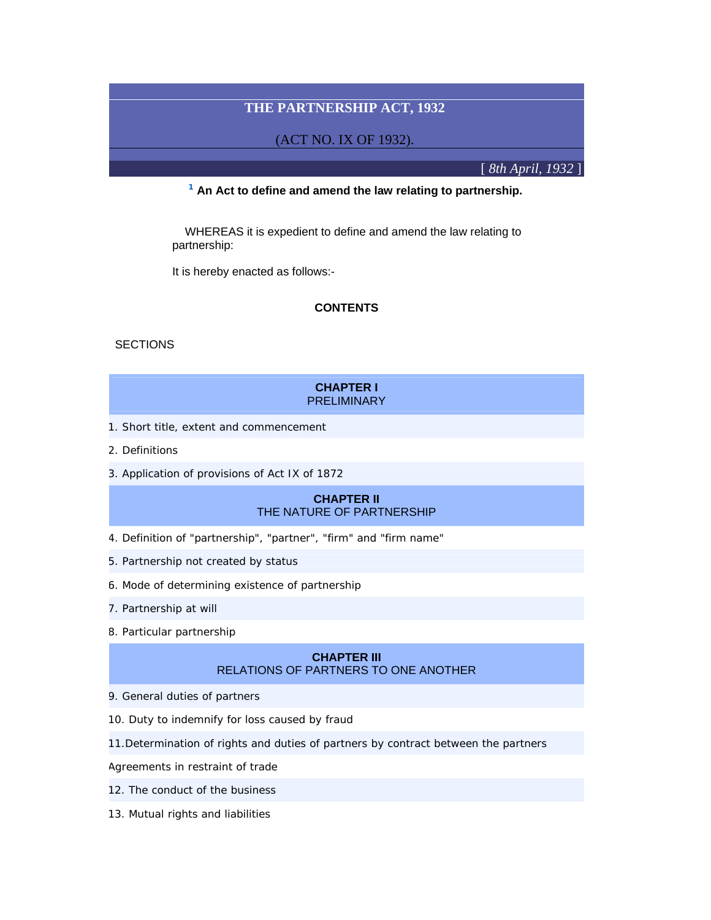# **THE PARTNERSHIP ACT, 1932**

# (ACT NO. IX OF 1932).

[ *8th April, 1932* ]

## **[1](http://www.bdlaws.gov.bd/print_sections.php?id=157§ions_id=10000000) An Act to define and amend the law relating to partnership.**

 WHEREAS it is expedient to define and amend the law relating to partnership:

It is hereby enacted as follows:-

### **CONTENTS**

### **SECTIONS**

#### **CHAPTER I PRELIMINARY**

- 1. Short title, extent and commencement
- 2. Definitions
- 3. Application of provisions of Act IX of 1872

## **CHAPTER II** THE NATURE OF PARTNERSHIP

- 4. Definition of "partnership", "partner", "firm" and "firm name"
- 5. Partnership not created by status
- 6. Mode of determining existence of partnership
- 7. Partnership at will
- 8. Particular partnership

## **CHAPTER III** RELATIONS OF PARTNERS TO ONE ANOTHER

- 9. General duties of partners
- 10. Duty to indemnify for loss caused by fraud
- 11.Determination of rights and duties of partners by contract between the partners

Agreements in restraint of trade

- 12. The conduct of the business
- 13. Mutual rights and liabilities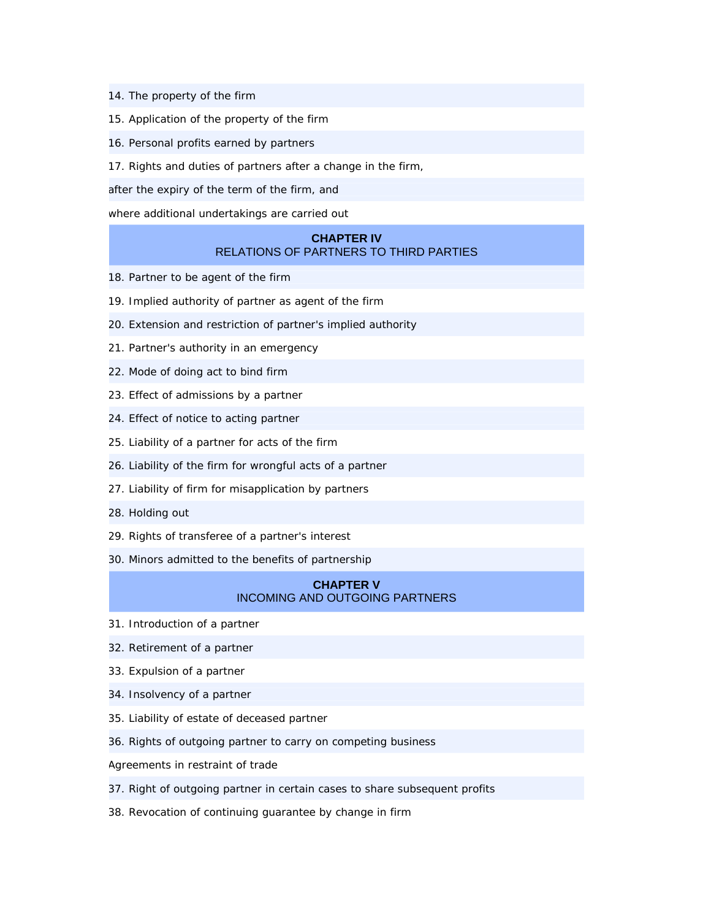- 14. The property of the firm
- 15. Application of the property of the firm
- 16. Personal profits earned by partners
- 17. Rights and duties of partners after a change in the firm,

after the expiry of the term of the firm, and

where additional undertakings are carried out

## **CHAPTER IV** RELATIONS OF PARTNERS TO THIRD PARTIES

- 18. Partner to be agent of the firm
- 19. Implied authority of partner as agent of the firm
- 20. Extension and restriction of partner's implied authority
- 21. Partner's authority in an emergency
- 22. Mode of doing act to bind firm
- 23. Effect of admissions by a partner
- 24. Effect of notice to acting partner
- 25. Liability of a partner for acts of the firm
- 26. Liability of the firm for wrongful acts of a partner
- 27. Liability of firm for misapplication by partners
- 28. Holding out
- 29. Rights of transferee of a partner's interest
- 30. Minors admitted to the benefits of partnership

### **CHAPTER V** INCOMING AND OUTGOING PARTNERS

- 31. Introduction of a partner
- 32. Retirement of a partner
- 33. Expulsion of a partner
- 34. Insolvency of a partner
- 35. Liability of estate of deceased partner
- 36. Rights of outgoing partner to carry on competing business
- Agreements in restraint of trade
- 37. Right of outgoing partner in certain cases to share subsequent profits
- 38. Revocation of continuing guarantee by change in firm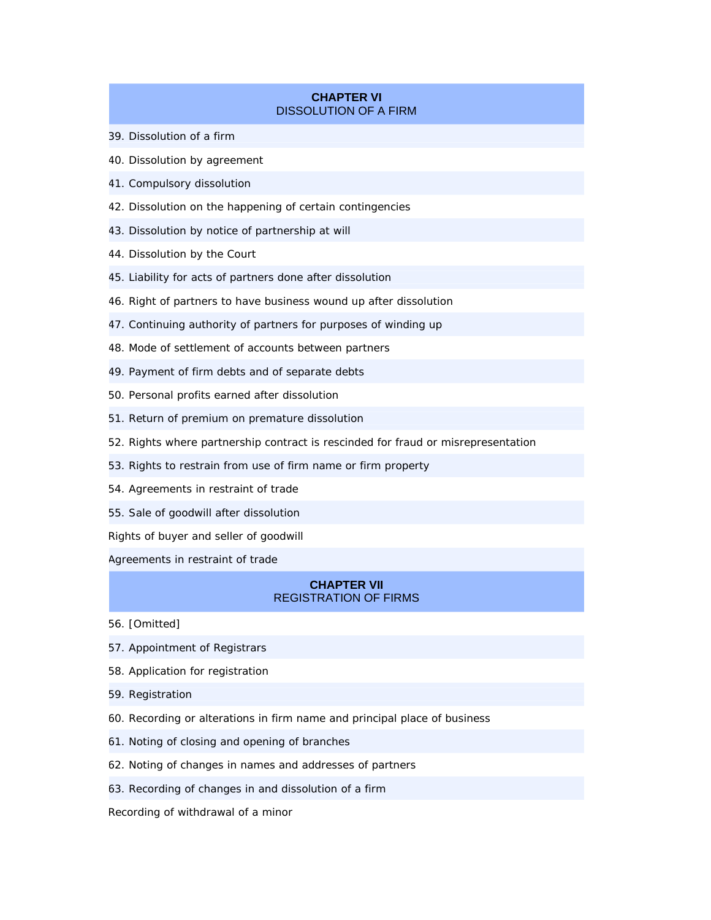#### **CHAPTER VI** DISSOLUTION OF A FIRM

- 39. Dissolution of a firm
- 40. Dissolution by agreement
- 41. Compulsory dissolution
- 42. Dissolution on the happening of certain contingencies
- 43. Dissolution by notice of partnership at will
- 44. Dissolution by the Court
- 45. Liability for acts of partners done after dissolution
- 46. Right of partners to have business wound up after dissolution
- 47. Continuing authority of partners for purposes of winding up
- 48. Mode of settlement of accounts between partners
- 49. Payment of firm debts and of separate debts
- 50. Personal profits earned after dissolution
- 51. Return of premium on premature dissolution
- 52. Rights where partnership contract is rescinded for fraud or misrepresentation
- 53. Rights to restrain from use of firm name or firm property
- 54. Agreements in restraint of trade
- 55. Sale of goodwill after dissolution

Rights of buyer and seller of goodwill

#### Agreements in restraint of trade

#### **CHAPTER VII** REGISTRATION OF FIRMS

- 56. [Omitted]
- 57. Appointment of Registrars
- 58. Application for registration
- 59. Registration
- 60. Recording or alterations in firm name and principal place of business
- 61. Noting of closing and opening of branches
- 62. Noting of changes in names and addresses of partners
- 63. Recording of changes in and dissolution of a firm

Recording of withdrawal of a minor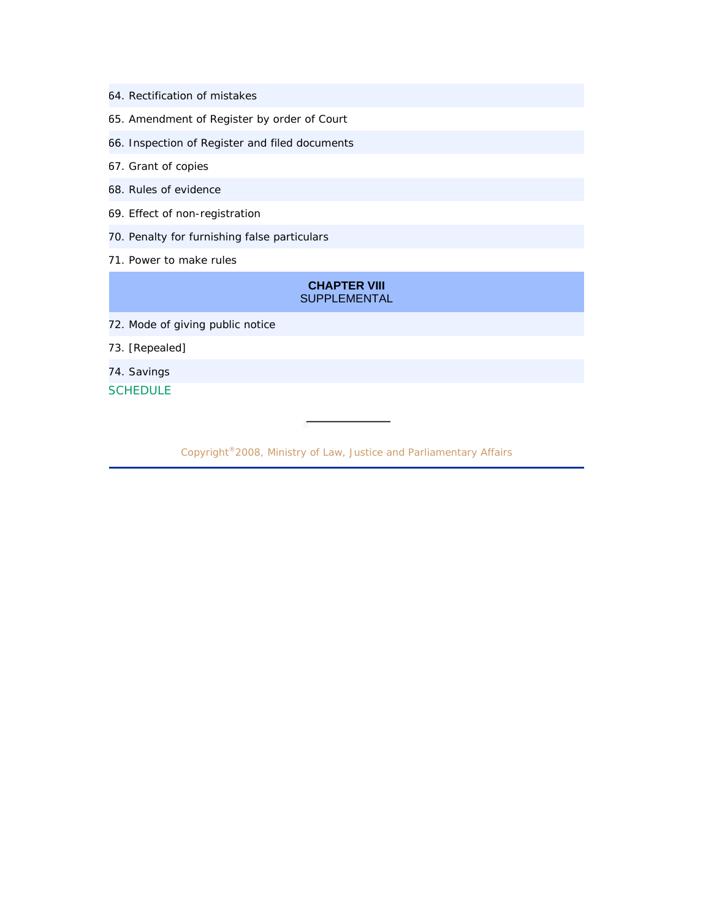- 64. Rectification of mistakes
- 65. Amendment of Register by order of Court
- 66. Inspection of Register and filed documents
- 67. Grant of copies
- 68. Rules of evidence
- 69. Effect of non-registration
- 70. Penalty for furnishing false particulars
- 71. Power to make rules

## **CHAPTER VIII** SUPPLEMENTAL

- 72. Mode of giving public notice
- 73. [Repealed]
- 74. Savings

**[SCHEDULE](http://www.bdlaws.gov.bd/pdf/157___Schedule.pdf)** 

Copyright<sup>®</sup> 2008, Ministry of Law, Justice and Parliamentary Affairs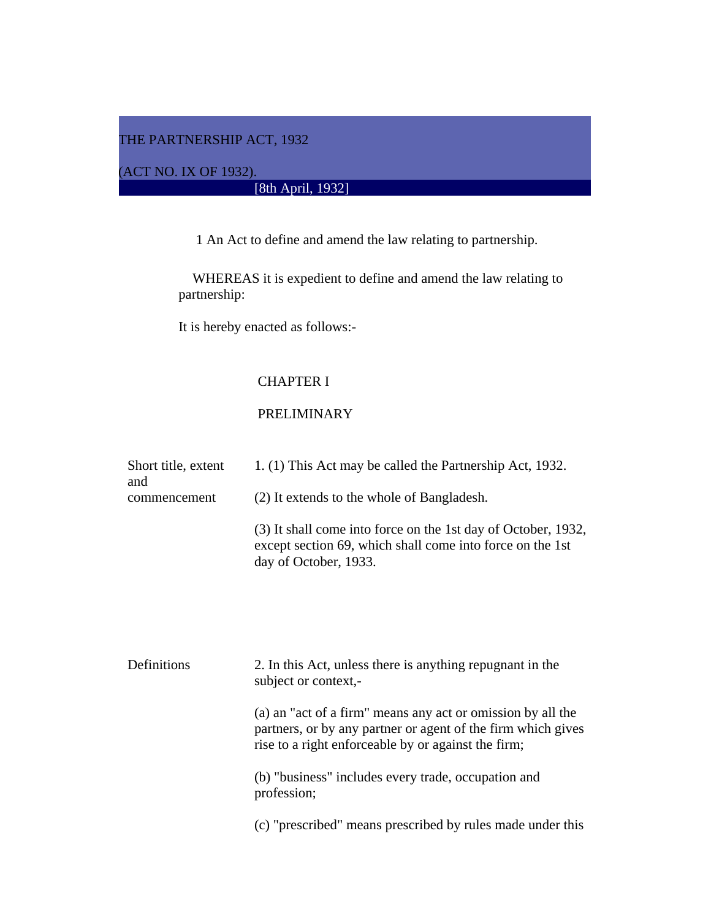# THE PARTNERSHIP ACT, 1932

(ACT NO. IX OF 1932).

 $\overline{\phantom{a}}$ 

[8th April, 1932]

[1](http://www.bdlaws.gov.bd/print_sections.php?id=157§ions_id=10000000) An Act to define and amend the law relating to partnership.

 WHEREAS it is expedient to define and amend the law relating to partnership:

It is hereby enacted as follows:-

# CHAPTER I

# PRELIMINARY

| Short title, extent<br>and | 1. (1) This Act may be called the Partnership Act, 1932.                                                                                            |
|----------------------------|-----------------------------------------------------------------------------------------------------------------------------------------------------|
| commencement               | (2) It extends to the whole of Bangladesh.                                                                                                          |
|                            | (3) It shall come into force on the 1st day of October, 1932,<br>except section 69, which shall come into force on the 1st<br>day of October, 1933. |

| Definitions | 2. In this Act, unless there is anything repugnant in the<br>subject or context,-                                                                                                  |
|-------------|------------------------------------------------------------------------------------------------------------------------------------------------------------------------------------|
|             | (a) an "act of a firm" means any act or omission by all the<br>partners, or by any partner or agent of the firm which gives<br>rise to a right enforceable by or against the firm; |
|             | (b) "business" includes every trade, occupation and<br>profession;                                                                                                                 |
|             | (c) "prescribed" means prescribed by rules made under this                                                                                                                         |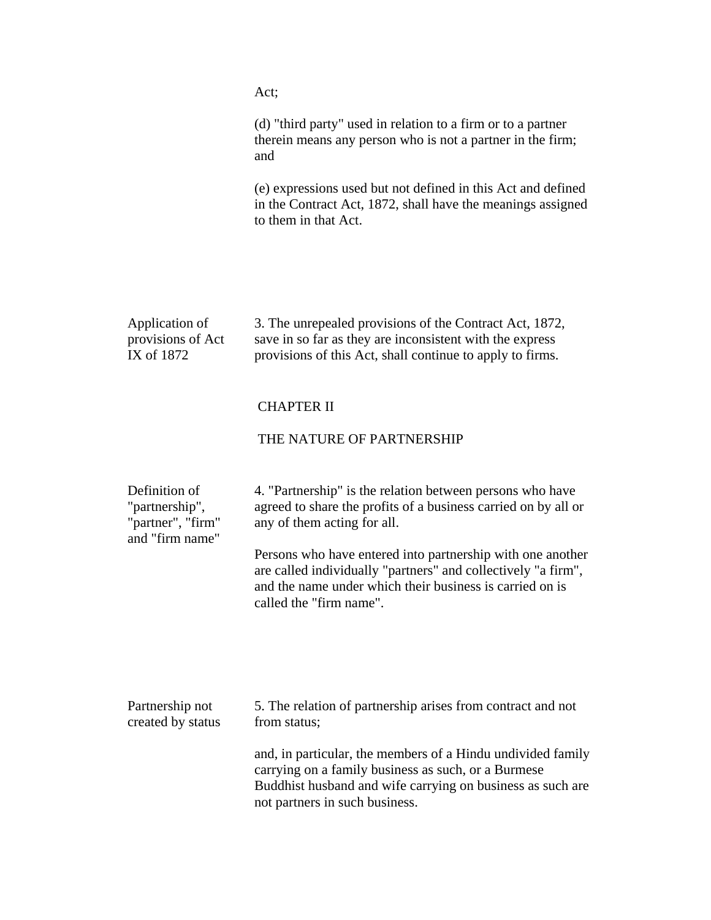Act;

(d) "third party" used in relation to a firm or to a partner therein means any person who is not a partner in the firm; and

(e) expressions used but not defined in this Act and defined in th[e Contract Act,](http://www.bdlaws.gov.bd/pdf_part.php?id=26) 1872, shall have the meanings assigned to them in that Act.

| Application of    | 3. The unrepealed provisions of the Contract Act, 1872,   |
|-------------------|-----------------------------------------------------------|
| provisions of Act | save in so far as they are inconsistent with the express  |
| IX of 1872        | provisions of this Act, shall continue to apply to firms. |

# CHAPTER II

## THE NATURE OF PARTNERSHIP

| Definition of<br>"partnership",<br>"partner", "firm"<br>and "firm name" | 4. "Partnership" is the relation between persons who have<br>agreed to share the profits of a business carried on by all or<br>any of them acting for all.                                                         |
|-------------------------------------------------------------------------|--------------------------------------------------------------------------------------------------------------------------------------------------------------------------------------------------------------------|
|                                                                         | Persons who have entered into partnership with one another<br>are called individually "partners" and collectively "a firm",<br>and the name under which their business is carried on is<br>called the "firm name". |
|                                                                         |                                                                                                                                                                                                                    |
| Partnership not<br>created by status                                    | 5. The relation of partnership arises from contract and not<br>from status;                                                                                                                                        |
|                                                                         | and, in particular, the members of a Hindu undivided family<br>carrying on a family business as such, or a Burmese                                                                                                 |

Buddhist husband and wife carrying on business as such are not partners in such business.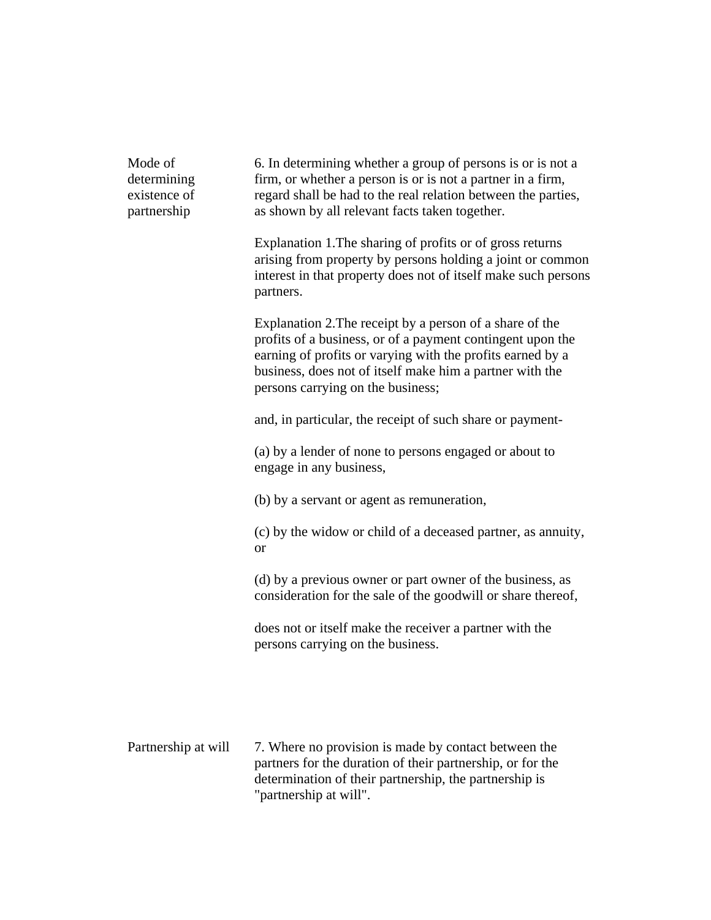| Mode of<br>determining<br>existence of<br>partnership | 6. In determining whether a group of persons is or is not a<br>firm, or whether a person is or is not a partner in a firm,<br>regard shall be had to the real relation between the parties,<br>as shown by all relevant facts taken together.                                         |
|-------------------------------------------------------|---------------------------------------------------------------------------------------------------------------------------------------------------------------------------------------------------------------------------------------------------------------------------------------|
|                                                       | Explanation 1. The sharing of profits or of gross returns<br>arising from property by persons holding a joint or common<br>interest in that property does not of itself make such persons<br>partners.                                                                                |
|                                                       | Explanation 2. The receipt by a person of a share of the<br>profits of a business, or of a payment contingent upon the<br>earning of profits or varying with the profits earned by a<br>business, does not of itself make him a partner with the<br>persons carrying on the business; |
|                                                       | and, in particular, the receipt of such share or payment-                                                                                                                                                                                                                             |
|                                                       | (a) by a lender of none to persons engaged or about to<br>engage in any business,                                                                                                                                                                                                     |
|                                                       | (b) by a servant or agent as remuneration,                                                                                                                                                                                                                                            |
|                                                       | (c) by the widow or child of a deceased partner, as annuity,<br>or                                                                                                                                                                                                                    |
|                                                       | (d) by a previous owner or part owner of the business, as<br>consideration for the sale of the goodwill or share thereof,                                                                                                                                                             |
|                                                       | does not or itself make the receiver a partner with the<br>persons carrying on the business.                                                                                                                                                                                          |
|                                                       |                                                                                                                                                                                                                                                                                       |
| Partnership at will                                   | 7. Where no provision is made by contact between the<br>partners for the duration of their partnership, or for the<br>determination of their partnership, the partnership is<br>"partnership at will".                                                                                |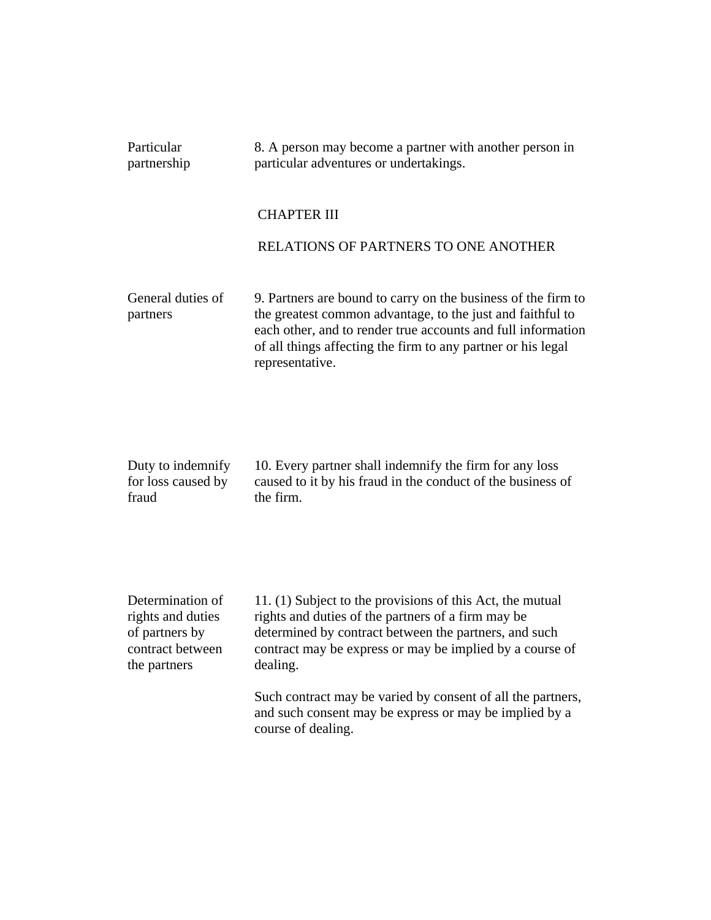| Particular<br>partnership                        | 8. A person may become a partner with another person in<br>particular adventures or undertakings.                                                                                                                                                                              |
|--------------------------------------------------|--------------------------------------------------------------------------------------------------------------------------------------------------------------------------------------------------------------------------------------------------------------------------------|
|                                                  | <b>CHAPTER III</b>                                                                                                                                                                                                                                                             |
|                                                  | <b>RELATIONS OF PARTNERS TO ONE ANOTHER</b>                                                                                                                                                                                                                                    |
| General duties of<br>partners                    | 9. Partners are bound to carry on the business of the firm to<br>the greatest common advantage, to the just and faithful to<br>each other, and to render true accounts and full information<br>of all things affecting the firm to any partner or his legal<br>representative. |
| Duty to indemnify<br>for loss caused by<br>fraud | 10. Every partner shall indemnify the firm for any loss<br>caused to it by his fraud in the conduct of the business of<br>the firm.                                                                                                                                            |

 Determination of rights and duties of partners by contract between the partners 11. (1) Subject to the provisions of this Act, the mutual rights and duties of the partners of a firm may be determined by contract between the partners, and such contract may be express or may be implied by a course of dealing.

> Such contract may be varied by consent of all the partners, and such consent may be express or may be implied by a course of dealing.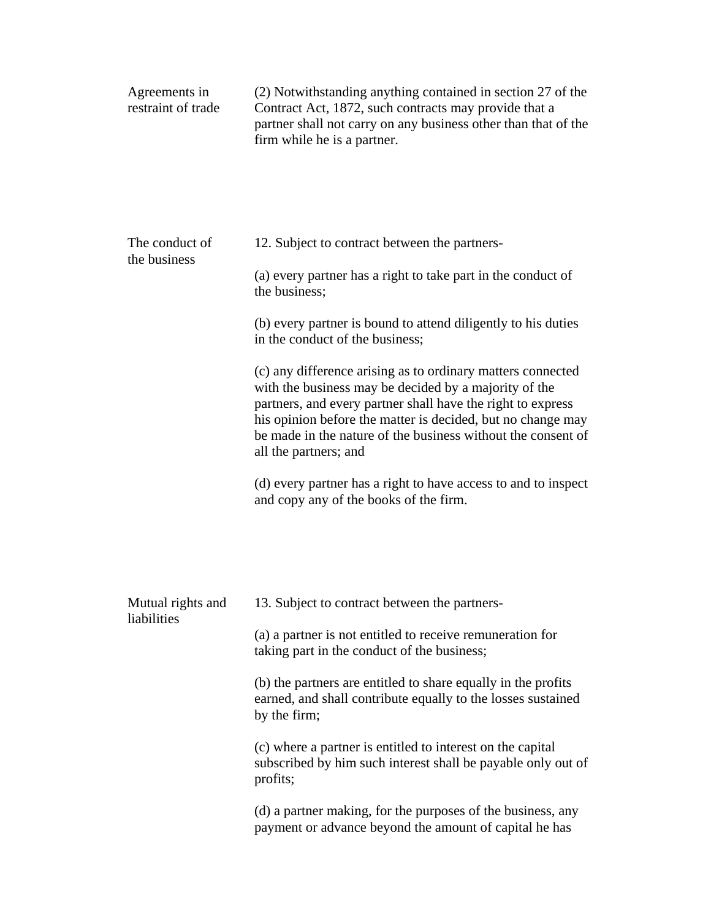| Agreements in<br>restraint of trade | (2) Notwithstanding anything contained in section 27 of the<br>Contract Act, 1872, such contracts may provide that a<br>partner shall not carry on any business other than that of the<br>firm while he is a partner.                                                                                                                       |
|-------------------------------------|---------------------------------------------------------------------------------------------------------------------------------------------------------------------------------------------------------------------------------------------------------------------------------------------------------------------------------------------|
| The conduct of<br>the business      | 12. Subject to contract between the partners-                                                                                                                                                                                                                                                                                               |
|                                     | (a) every partner has a right to take part in the conduct of<br>the business;                                                                                                                                                                                                                                                               |
|                                     | (b) every partner is bound to attend diligently to his duties<br>in the conduct of the business;                                                                                                                                                                                                                                            |
|                                     | (c) any difference arising as to ordinary matters connected<br>with the business may be decided by a majority of the<br>partners, and every partner shall have the right to express<br>his opinion before the matter is decided, but no change may<br>be made in the nature of the business without the consent of<br>all the partners; and |
|                                     | (d) every partner has a right to have access to and to inspect<br>and copy any of the books of the firm.                                                                                                                                                                                                                                    |
| Mutual rights and<br>liabilities    | 13. Subject to contract between the partners-                                                                                                                                                                                                                                                                                               |
|                                     | (a) a partner is not entitled to receive remuneration for<br>taking part in the conduct of the business;                                                                                                                                                                                                                                    |
|                                     | (b) the partners are entitled to share equally in the profits<br>earned, and shall contribute equally to the losses sustained<br>by the firm;                                                                                                                                                                                               |
|                                     | (c) where a partner is entitled to interest on the capital<br>subscribed by him such interest shall be payable only out of<br>profits;                                                                                                                                                                                                      |
|                                     | (d) a partner making, for the purposes of the business, any<br>payment or advance beyond the amount of capital he has                                                                                                                                                                                                                       |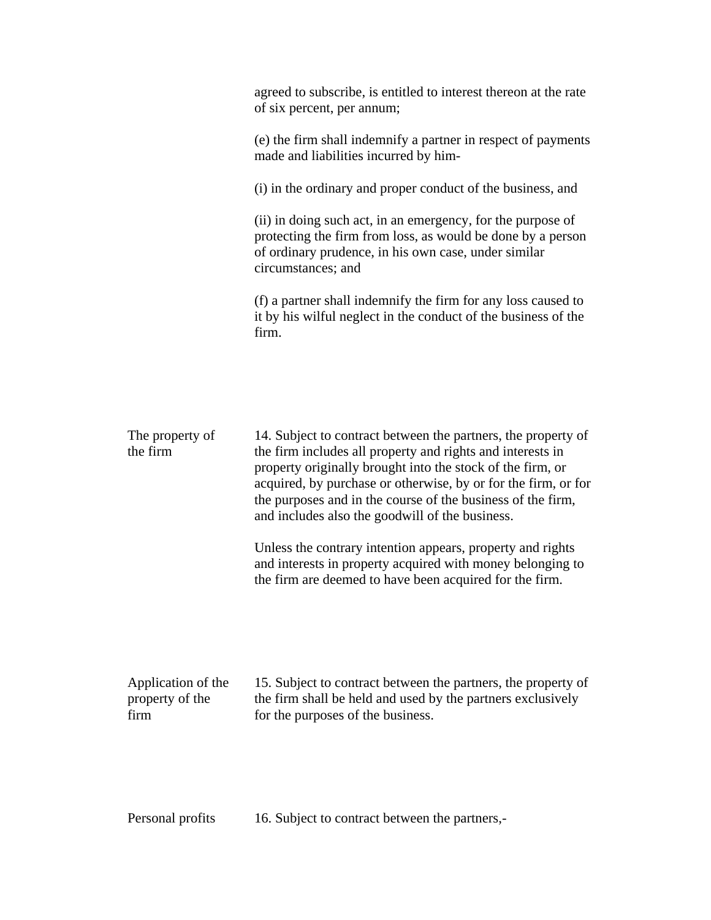|                             | agreed to subscribe, is entitled to interest thereon at the rate<br>of six percent, per annum;                                                                                                                                                                                                                                                                                |
|-----------------------------|-------------------------------------------------------------------------------------------------------------------------------------------------------------------------------------------------------------------------------------------------------------------------------------------------------------------------------------------------------------------------------|
|                             | (e) the firm shall indemnify a partner in respect of payments<br>made and liabilities incurred by him-                                                                                                                                                                                                                                                                        |
|                             | (i) in the ordinary and proper conduct of the business, and                                                                                                                                                                                                                                                                                                                   |
|                             | (ii) in doing such act, in an emergency, for the purpose of<br>protecting the firm from loss, as would be done by a person<br>of ordinary prudence, in his own case, under similar<br>circumstances; and                                                                                                                                                                      |
|                             | (f) a partner shall indemnify the firm for any loss caused to<br>it by his wilful neglect in the conduct of the business of the<br>firm.                                                                                                                                                                                                                                      |
|                             |                                                                                                                                                                                                                                                                                                                                                                               |
|                             |                                                                                                                                                                                                                                                                                                                                                                               |
| The property of<br>the firm | 14. Subject to contract between the partners, the property of<br>the firm includes all property and rights and interests in<br>property originally brought into the stock of the firm, or<br>acquired, by purchase or otherwise, by or for the firm, or for<br>the purposes and in the course of the business of the firm,<br>and includes also the goodwill of the business. |
|                             | Unless the contrary intention appears, property and rights<br>and interests in property acquired with money belonging to<br>the firm are deemed to have been acquired for the firm.                                                                                                                                                                                           |
|                             |                                                                                                                                                                                                                                                                                                                                                                               |
| Application of the          | 15. Subject to contract between the partners, the property of                                                                                                                                                                                                                                                                                                                 |
| property of the<br>firm     | the firm shall be held and used by the partners exclusively<br>for the purposes of the business.                                                                                                                                                                                                                                                                              |
|                             |                                                                                                                                                                                                                                                                                                                                                                               |
| Personal profits            | 16. Subject to contract between the partners,-                                                                                                                                                                                                                                                                                                                                |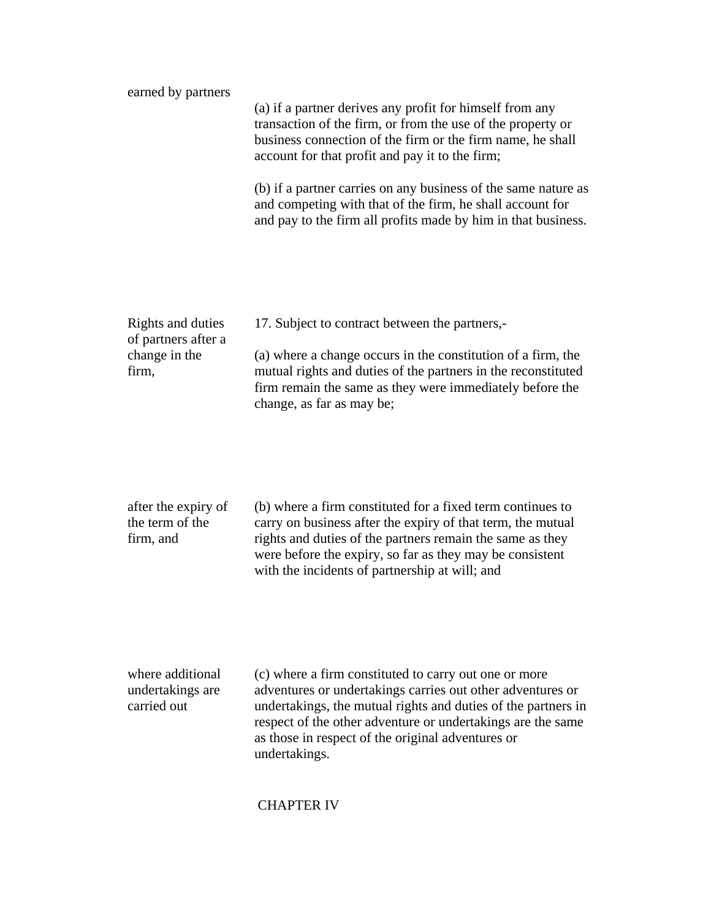| earned by partners                                                 | (a) if a partner derives any profit for himself from any<br>transaction of the firm, or from the use of the property or<br>business connection of the firm or the firm name, he shall<br>account for that profit and pay it to the firm;<br>(b) if a partner carries on any business of the same nature as<br>and competing with that of the firm, he shall account for<br>and pay to the firm all profits made by him in that business. |
|--------------------------------------------------------------------|------------------------------------------------------------------------------------------------------------------------------------------------------------------------------------------------------------------------------------------------------------------------------------------------------------------------------------------------------------------------------------------------------------------------------------------|
| Rights and duties<br>of partners after a<br>change in the<br>firm, | 17. Subject to contract between the partners,-<br>(a) where a change occurs in the constitution of a firm, the<br>mutual rights and duties of the partners in the reconstituted<br>firm remain the same as they were immediately before the<br>change, as far as may be;                                                                                                                                                                 |
| after the expiry of<br>the term of the<br>firm, and                | (b) where a firm constituted for a fixed term continues to<br>carry on business after the expiry of that term, the mutual<br>rights and duties of the partners remain the same as they<br>were before the expiry, so far as they may be consistent<br>with the incidents of partnership at will; and                                                                                                                                     |
| where additional<br>undertakings are<br>carried out                | (c) where a firm constituted to carry out one or more<br>adventures or undertakings carries out other adventures or<br>undertakings, the mutual rights and duties of the partners in<br>respect of the other adventure or undertakings are the same<br>as those in respect of the original adventures or<br>undertakings.                                                                                                                |
|                                                                    |                                                                                                                                                                                                                                                                                                                                                                                                                                          |

CHAPTER IV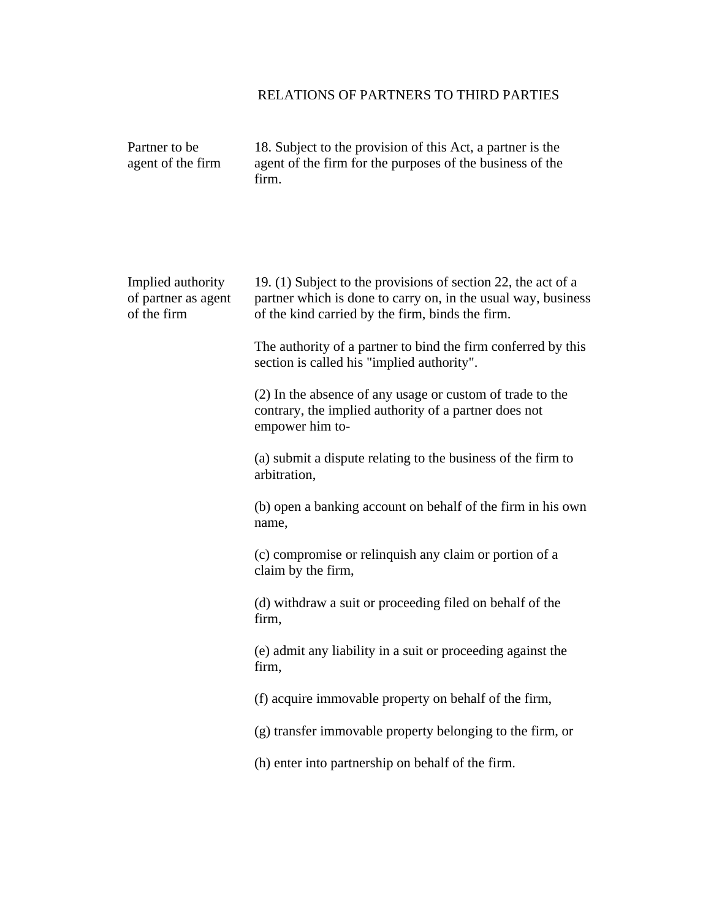# RELATIONS OF PARTNERS TO THIRD PARTIES

| Partner to be<br>agent of the firm                      | 18. Subject to the provision of this Act, a partner is the<br>agent of the firm for the purposes of the business of the<br>firm.                                                   |
|---------------------------------------------------------|------------------------------------------------------------------------------------------------------------------------------------------------------------------------------------|
| Implied authority<br>of partner as agent<br>of the firm | 19. (1) Subject to the provisions of section 22, the act of a<br>partner which is done to carry on, in the usual way, business<br>of the kind carried by the firm, binds the firm. |
|                                                         | The authority of a partner to bind the firm conferred by this<br>section is called his "implied authority".                                                                        |
|                                                         | (2) In the absence of any usage or custom of trade to the<br>contrary, the implied authority of a partner does not<br>empower him to-                                              |
|                                                         | (a) submit a dispute relating to the business of the firm to<br>arbitration,                                                                                                       |
|                                                         | (b) open a banking account on behalf of the firm in his own<br>name,                                                                                                               |
|                                                         | (c) compromise or relinquish any claim or portion of a<br>claim by the firm,                                                                                                       |
|                                                         | (d) withdraw a suit or proceeding filed on behalf of the<br>firm,                                                                                                                  |
|                                                         | (e) admit any liability in a suit or proceeding against the<br>firm,                                                                                                               |
|                                                         | (f) acquire immovable property on behalf of the firm,                                                                                                                              |
|                                                         | (g) transfer immovable property belonging to the firm, or                                                                                                                          |
|                                                         | (h) enter into partnership on behalf of the firm.                                                                                                                                  |
|                                                         |                                                                                                                                                                                    |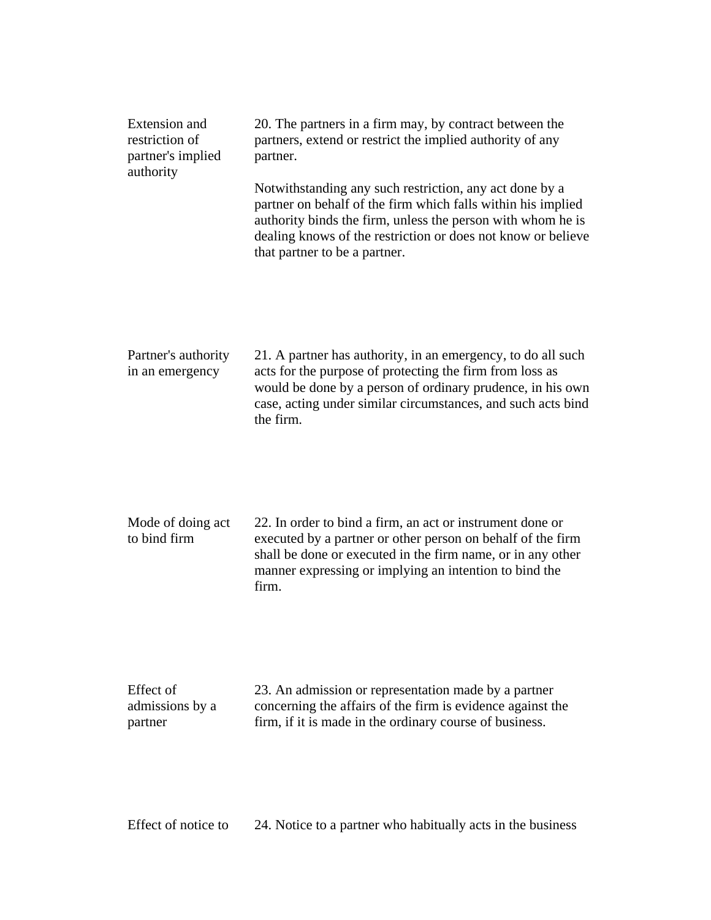| <b>Extension</b> and<br>restriction of<br>partner's implied<br>authority | 20. The partners in a firm may, by contract between the<br>partners, extend or restrict the implied authority of any<br>partner.<br>Notwithstanding any such restriction, any act done by a<br>partner on behalf of the firm which falls within his implied<br>authority binds the firm, unless the person with whom he is<br>dealing knows of the restriction or does not know or believe |
|--------------------------------------------------------------------------|--------------------------------------------------------------------------------------------------------------------------------------------------------------------------------------------------------------------------------------------------------------------------------------------------------------------------------------------------------------------------------------------|
|                                                                          | that partner to be a partner.                                                                                                                                                                                                                                                                                                                                                              |
| Partner's authority<br>in an emergency                                   | 21. A partner has authority, in an emergency, to do all such<br>acts for the purpose of protecting the firm from loss as<br>would be done by a person of ordinary prudence, in his own<br>case, acting under similar circumstances, and such acts bind<br>the firm.                                                                                                                        |
| Mode of doing act<br>to bind firm                                        | 22. In order to bind a firm, an act or instrument done or<br>executed by a partner or other person on behalf of the firm<br>shall be done or executed in the firm name, or in any other<br>manner expressing or implying an intention to bind the<br>firm.                                                                                                                                 |
| Effect of<br>admissions by a<br>partner                                  | 23. An admission or representation made by a partner<br>concerning the affairs of the firm is evidence against the<br>firm, if it is made in the ordinary course of business.                                                                                                                                                                                                              |

Effect of notice to 24. Notice to a partner who habitually acts in the business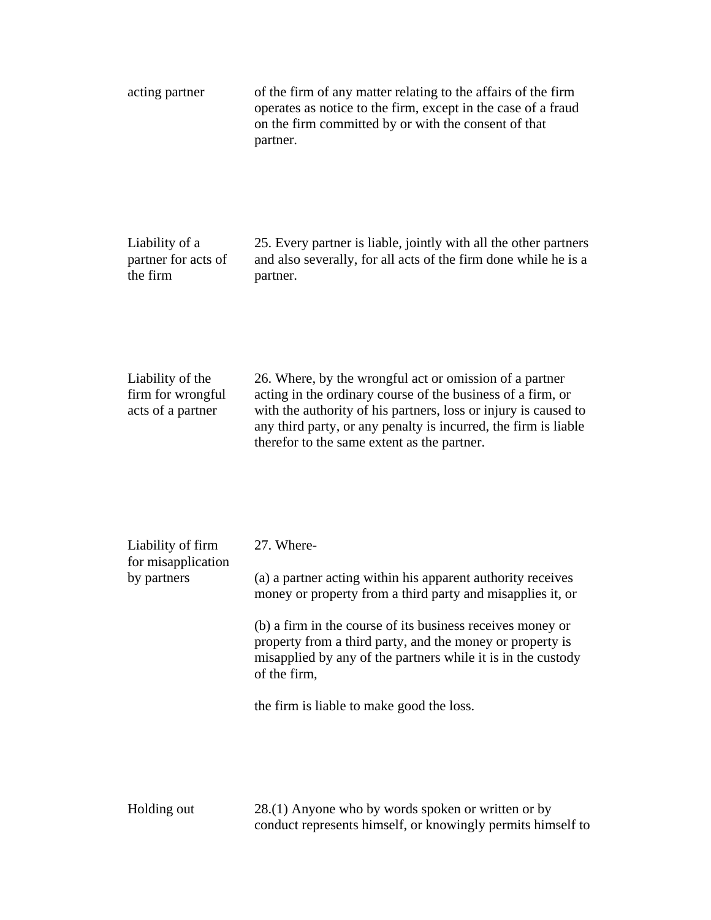| acting partner                                             | of the firm of any matter relating to the affairs of the firm<br>operates as notice to the firm, except in the case of a fraud<br>on the firm committed by or with the consent of that<br>partner.                                                                                                          |
|------------------------------------------------------------|-------------------------------------------------------------------------------------------------------------------------------------------------------------------------------------------------------------------------------------------------------------------------------------------------------------|
| Liability of a<br>partner for acts of<br>the firm          | 25. Every partner is liable, jointly with all the other partners<br>and also severally, for all acts of the firm done while he is a<br>partner.                                                                                                                                                             |
| Liability of the<br>firm for wrongful<br>acts of a partner | 26. Where, by the wrongful act or omission of a partner<br>acting in the ordinary course of the business of a firm, or<br>with the authority of his partners, loss or injury is caused to<br>any third party, or any penalty is incurred, the firm is liable<br>therefor to the same extent as the partner. |
| Liability of firm                                          | 27. Where-                                                                                                                                                                                                                                                                                                  |
| for misapplication<br>by partners                          | (a) a partner acting within his apparent authority receives<br>money or property from a third party and misapplies it, or                                                                                                                                                                                   |
|                                                            | (b) a firm in the course of its business receives money or<br>property from a third party, and the money or property is<br>misapplied by any of the partners while it is in the custody<br>of the firm,                                                                                                     |
|                                                            | the firm is liable to make good the loss.                                                                                                                                                                                                                                                                   |
|                                                            |                                                                                                                                                                                                                                                                                                             |
| Holding out                                                | 28.(1) Anyone who by words spoken or written or by<br>conduct represents himself, or knowingly permits himself to                                                                                                                                                                                           |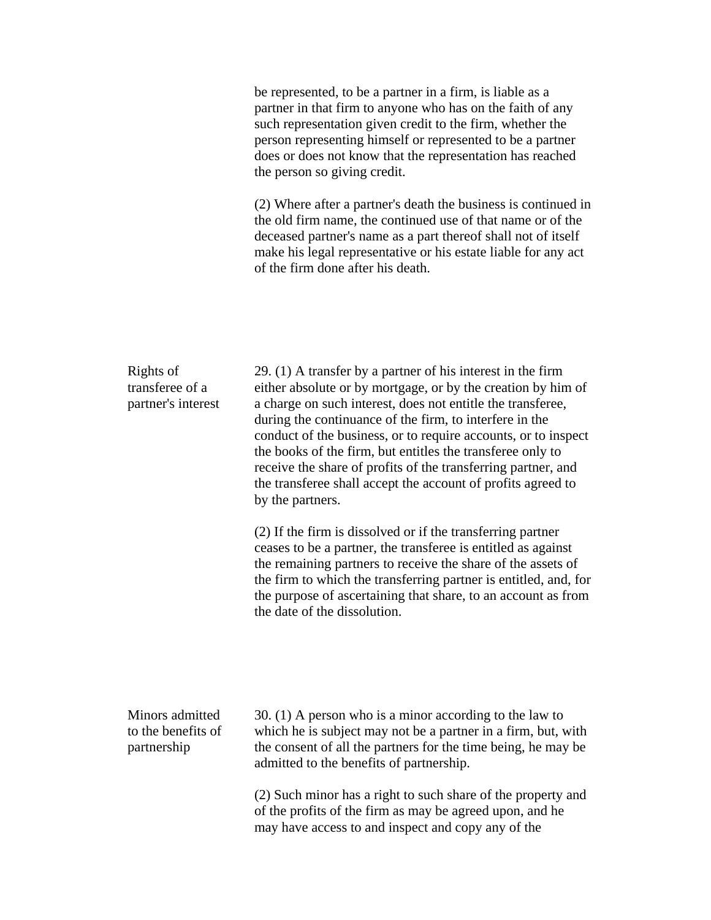be represented, to be a partner in a firm, is liable as a partner in that firm to anyone who has on the faith of any such representation given credit to the firm, whether the person representing himself or represented to be a partner does or does not know that the representation has reached the person so giving credit.

(2) Where after a partner's death the business is continued in the old firm name, the continued use of that name or of the deceased partner's name as a part thereof shall not of itself make his legal representative or his estate liable for any act of the firm done after his death.

| Rights of<br>transferee of a<br>partner's interest   | 29. $(1)$ A transfer by a partner of his interest in the firm<br>either absolute or by mortgage, or by the creation by him of<br>a charge on such interest, does not entitle the transferee,<br>during the continuance of the firm, to interfere in the<br>conduct of the business, or to require accounts, or to inspect<br>the books of the firm, but entitles the transferee only to<br>receive the share of profits of the transferring partner, and<br>the transferee shall accept the account of profits agreed to<br>by the partners.<br>(2) If the firm is dissolved or if the transferring partner<br>ceases to be a partner, the transferee is entitled as against<br>the remaining partners to receive the share of the assets of<br>the firm to which the transferring partner is entitled, and, for<br>the purpose of ascertaining that share, to an account as from<br>the date of the dissolution. |
|------------------------------------------------------|-------------------------------------------------------------------------------------------------------------------------------------------------------------------------------------------------------------------------------------------------------------------------------------------------------------------------------------------------------------------------------------------------------------------------------------------------------------------------------------------------------------------------------------------------------------------------------------------------------------------------------------------------------------------------------------------------------------------------------------------------------------------------------------------------------------------------------------------------------------------------------------------------------------------|
| Minors admitted<br>to the benefits of<br>partnership | 30. (1) A person who is a minor according to the law to<br>which he is subject may not be a partner in a firm, but, with<br>the consent of all the partners for the time being, he may be<br>admitted to the benefits of partnership.<br>(2) Such minor has a right to such share of the property and<br>of the profits of the firm as may be agreed upon, and he<br>may have access to and inspect and copy any of the                                                                                                                                                                                                                                                                                                                                                                                                                                                                                           |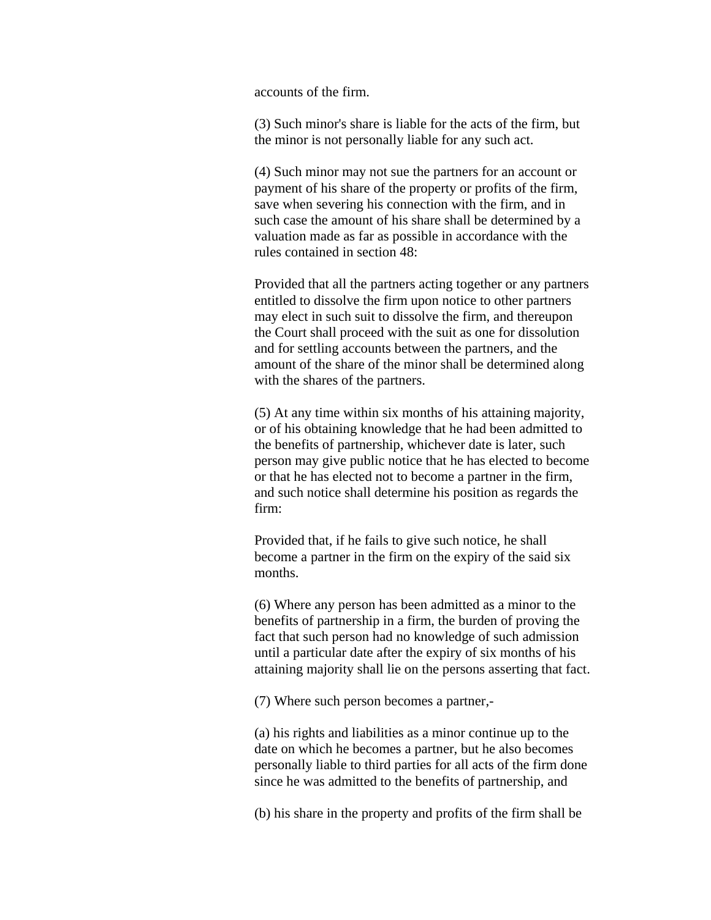accounts of the firm.

(3) Such minor's share is liable for the acts of the firm, but the minor is not personally liable for any such act.

(4) Such minor may not sue the partners for an account or payment of his share of the property or profits of the firm, save when severing his connection with the firm, and in such case the amount of his share shall be determined by a valuation made as far as possible in accordance with the rules contained in section 48:

Provided that all the partners acting together or any partners entitled to dissolve the firm upon notice to other partners may elect in such suit to dissolve the firm, and thereupon the Court shall proceed with the suit as one for dissolution and for settling accounts between the partners, and the amount of the share of the minor shall be determined along with the shares of the partners.

(5) At any time within six months of his attaining majority, or of his obtaining knowledge that he had been admitted to the benefits of partnership, whichever date is later, such person may give public notice that he has elected to become or that he has elected not to become a partner in the firm, and such notice shall determine his position as regards the firm:

Provided that, if he fails to give such notice, he shall become a partner in the firm on the expiry of the said six months.

(6) Where any person has been admitted as a minor to the benefits of partnership in a firm, the burden of proving the fact that such person had no knowledge of such admission until a particular date after the expiry of six months of his attaining majority shall lie on the persons asserting that fact.

(7) Where such person becomes a partner,-

(a) his rights and liabilities as a minor continue up to the date on which he becomes a partner, but he also becomes personally liable to third parties for all acts of the firm done since he was admitted to the benefits of partnership, and

(b) his share in the property and profits of the firm shall be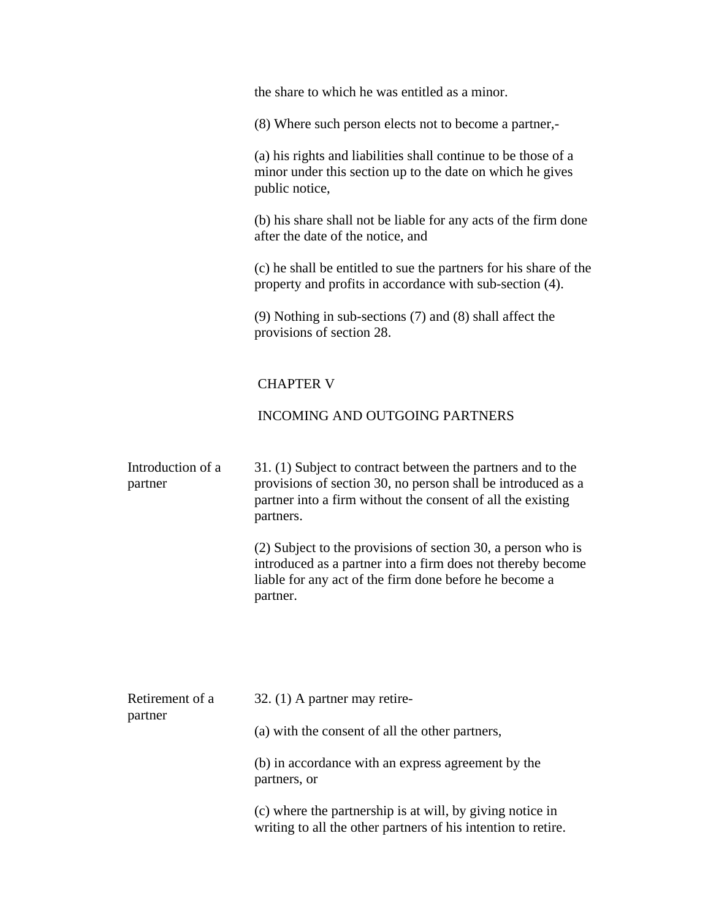the share to which he was entitled as a minor.

(8) Where such person elects not to become a partner,-

(a) his rights and liabilities shall continue to be those of a minor under this section up to the date on which he gives public notice,

(b) his share shall not be liable for any acts of the firm done after the date of the notice, and

(c) he shall be entitled to sue the partners for his share of the property and profits in accordance with sub-section (4).

(9) Nothing in sub-sections (7) and (8) shall affect the provisions of section 28.

## CHAPTER V

# INCOMING AND OUTGOING PARTNERS

 Introduction of a partner 31. (1) Subject to contract between the partners and to the provisions of section 30, no person shall be introduced as a partner into a firm without the consent of all the existing partners.

> (2) Subject to the provisions of section 30, a person who is introduced as a partner into a firm does not thereby become liable for any act of the firm done before he become a partner.

| Retirement of a<br>partner | 32. (1) A partner may retire-                                                                                              |
|----------------------------|----------------------------------------------------------------------------------------------------------------------------|
|                            | (a) with the consent of all the other partners,                                                                            |
|                            | (b) in accordance with an express agreement by the<br>partners, or                                                         |
|                            | (c) where the partnership is at will, by giving notice in<br>writing to all the other partners of his intention to retire. |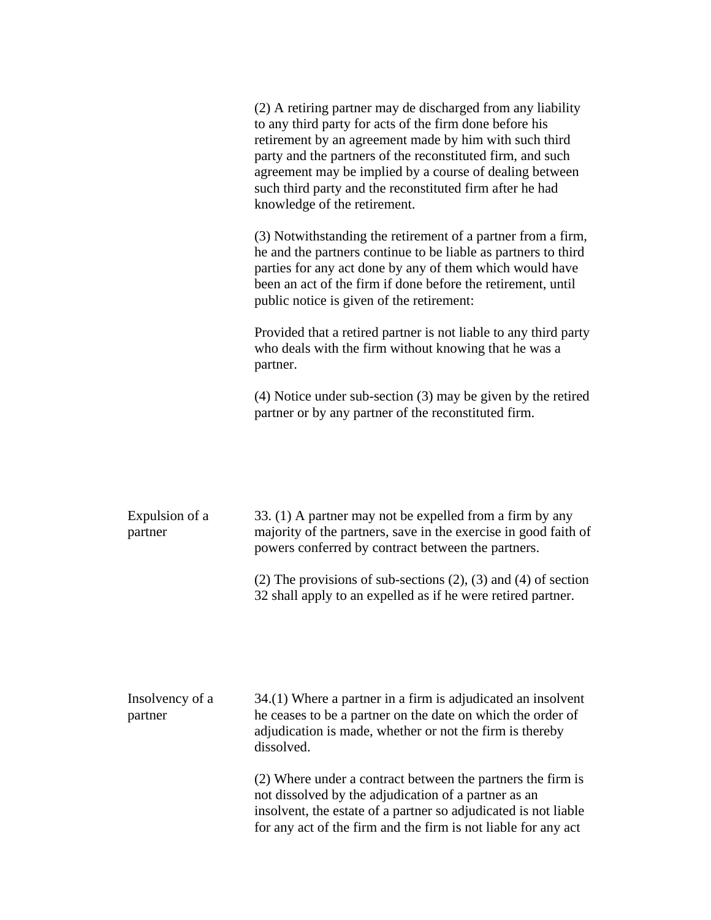|                            | (2) A retiring partner may de discharged from any liability<br>to any third party for acts of the firm done before his<br>retirement by an agreement made by him with such third<br>party and the partners of the reconstituted firm, and such<br>agreement may be implied by a course of dealing between<br>such third party and the reconstituted firm after he had<br>knowledge of the retirement. |
|----------------------------|-------------------------------------------------------------------------------------------------------------------------------------------------------------------------------------------------------------------------------------------------------------------------------------------------------------------------------------------------------------------------------------------------------|
|                            | (3) Notwithstanding the retirement of a partner from a firm,<br>he and the partners continue to be liable as partners to third<br>parties for any act done by any of them which would have<br>been an act of the firm if done before the retirement, until<br>public notice is given of the retirement:                                                                                               |
|                            | Provided that a retired partner is not liable to any third party<br>who deals with the firm without knowing that he was a<br>partner.                                                                                                                                                                                                                                                                 |
|                            | $(4)$ Notice under sub-section $(3)$ may be given by the retired<br>partner or by any partner of the reconstituted firm.                                                                                                                                                                                                                                                                              |
|                            |                                                                                                                                                                                                                                                                                                                                                                                                       |
| Expulsion of a<br>partner  | 33. (1) A partner may not be expelled from a firm by any<br>majority of the partners, save in the exercise in good faith of<br>powers conferred by contract between the partners.                                                                                                                                                                                                                     |
|                            | (2) The provisions of sub-sections $(2)$ , $(3)$ and $(4)$ of section<br>32 shall apply to an expelled as if he were retired partner.                                                                                                                                                                                                                                                                 |
|                            |                                                                                                                                                                                                                                                                                                                                                                                                       |
| Insolvency of a<br>partner | 34.(1) Where a partner in a firm is adjudicated an insolvent<br>he ceases to be a partner on the date on which the order of<br>adjudication is made, whether or not the firm is thereby<br>dissolved.                                                                                                                                                                                                 |
|                            | (2) Where under a contract between the partners the firm is<br>not dissolved by the adjudication of a partner as an<br>insolvent, the estate of a partner so adjudicated is not liable<br>for any act of the firm and the firm is not liable for any act                                                                                                                                              |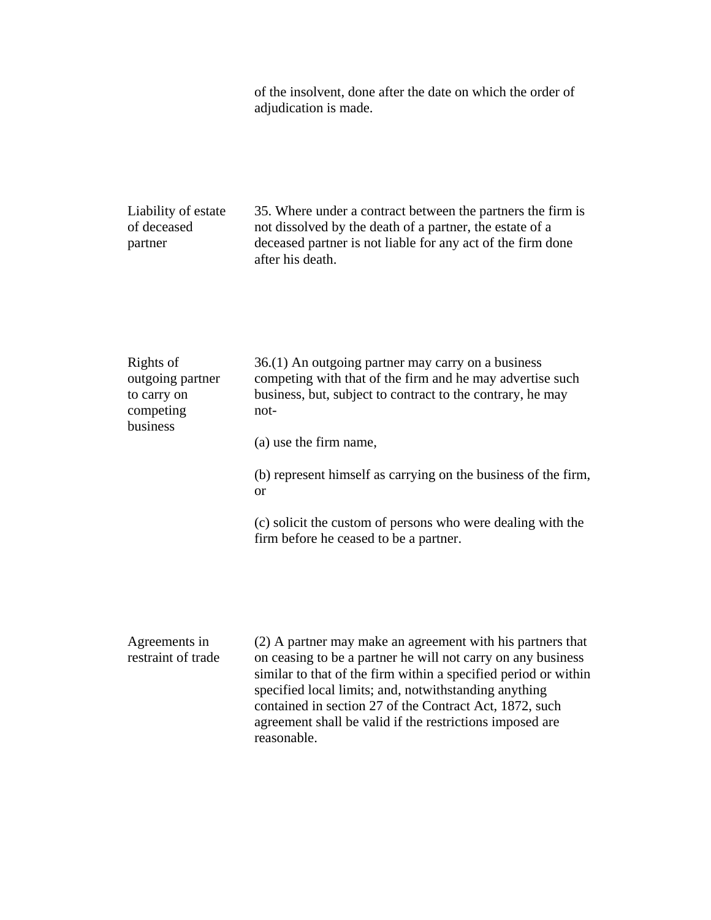|                                                                       | of the insolvent, done after the date on which the order of<br>adjudication is made.                                                                                                                                                                                                                                                                                                                        |
|-----------------------------------------------------------------------|-------------------------------------------------------------------------------------------------------------------------------------------------------------------------------------------------------------------------------------------------------------------------------------------------------------------------------------------------------------------------------------------------------------|
| Liability of estate<br>of deceased<br>partner                         | 35. Where under a contract between the partners the firm is<br>not dissolved by the death of a partner, the estate of a<br>deceased partner is not liable for any act of the firm done<br>after his death.                                                                                                                                                                                                  |
| Rights of<br>outgoing partner<br>to carry on<br>competing<br>business | 36.(1) An outgoing partner may carry on a business<br>competing with that of the firm and he may advertise such<br>business, but, subject to contract to the contrary, he may<br>not-<br>(a) use the firm name,<br>(b) represent himself as carrying on the business of the firm,<br><sub>or</sub><br>(c) solicit the custom of persons who were dealing with the<br>firm before he ceased to be a partner. |
| Agreements in<br>restraint of trade                                   | (2) A partner may make an agreement with his partners that<br>on ceasing to be a partner he will not carry on any business<br>similar to that of the firm within a specified period or within<br>specified local limits; and, notwithstanding anything<br>contained in section 27 of the Contract Act, 1872, such<br>agreement shall be valid if the restrictions imposed are<br>reasonable.                |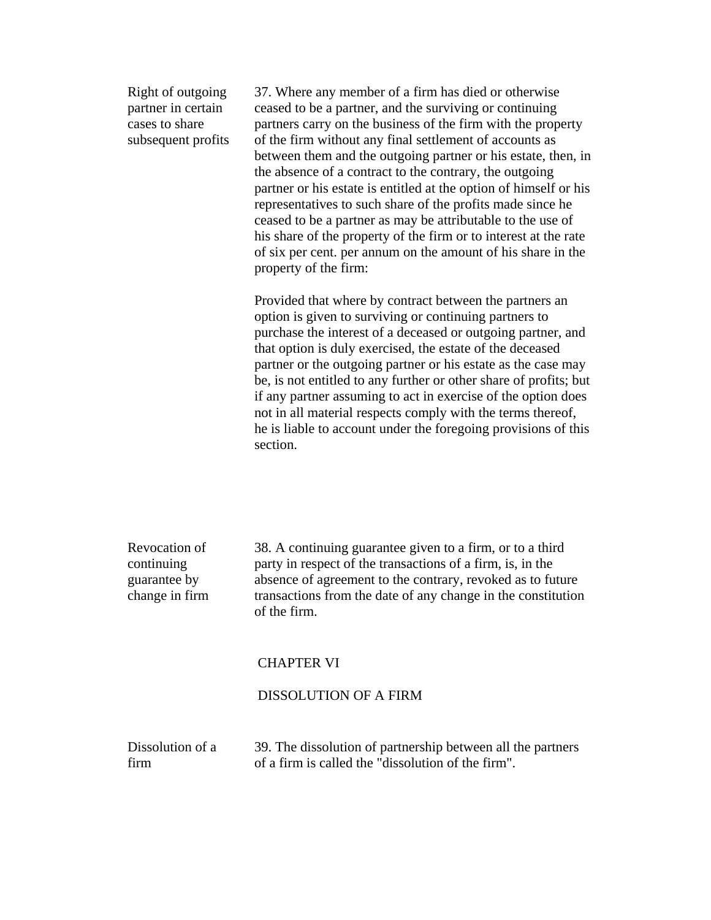Right of outgoing partner in certain cases to share subsequent profits

37. Where any member of a firm has died or otherwise ceased to be a partner, and the surviving or continuing partners carry on the business of the firm with the property of the firm without any final settlement of accounts as between them and the outgoing partner or his estate, then, in the absence of a contract to the contrary, the outgoing partner or his estate is entitled at the option of himself or his representatives to such share of the profits made since he ceased to be a partner as may be attributable to the use of his share of the property of the firm or to interest at the rate of six per cent. per annum on the amount of his share in the property of the firm:

Provided that where by contract between the partners an option is given to surviving or continuing partners to purchase the interest of a deceased or outgoing partner, and that option is duly exercised, the estate of the deceased partner or the outgoing partner or his estate as the case may be, is not entitled to any further or other share of profits; but if any partner assuming to act in exercise of the option does not in all material respects comply with the terms thereof, he is liable to account under the foregoing provisions of this section.

 Revocation of continuing guarantee by change in firm

38. A continuing guarantee given to a firm, or to a third party in respect of the transactions of a firm, is, in the absence of agreement to the contrary, revoked as to future transactions from the date of any change in the constitution of the firm.

# CHAPTER VI

## DISSOLUTION OF A FIRM

 Dissolution of a Dissolution of a 39. The dissolution of partnership between all the partners<br>firm of a firm is called the "dissolution of the firm". of a firm is called the "dissolution of the firm".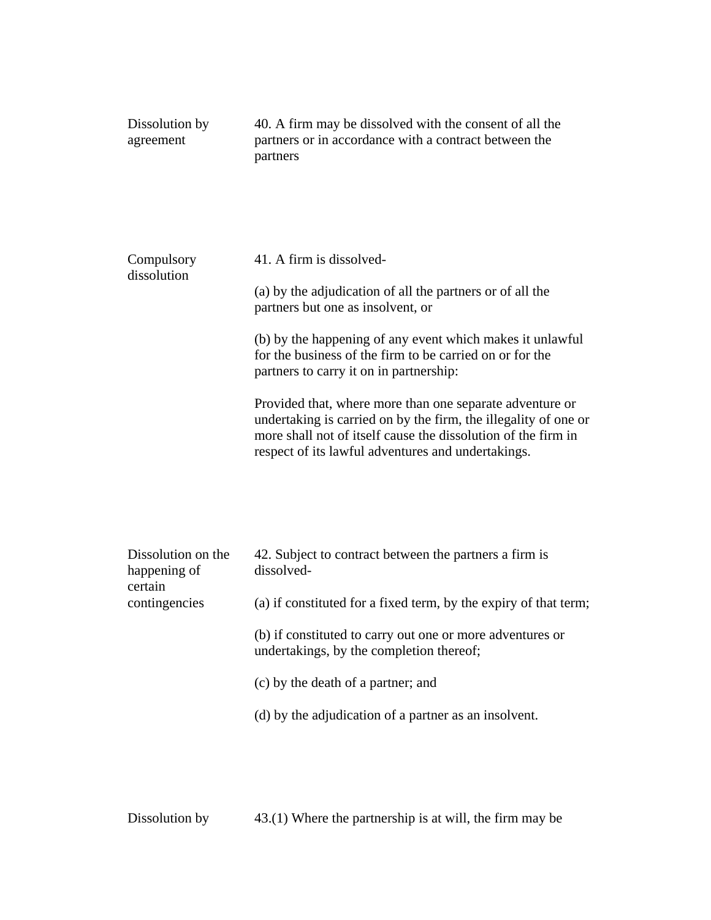| Dissolution by<br>agreement                   | 40. A firm may be dissolved with the consent of all the<br>partners or in accordance with a contract between the<br>partners                                                                                                                       |
|-----------------------------------------------|----------------------------------------------------------------------------------------------------------------------------------------------------------------------------------------------------------------------------------------------------|
| Compulsory<br>dissolution                     | 41. A firm is dissolved-                                                                                                                                                                                                                           |
|                                               | (a) by the adjudication of all the partners or of all the<br>partners but one as insolvent, or                                                                                                                                                     |
|                                               | (b) by the happening of any event which makes it unlawful<br>for the business of the firm to be carried on or for the<br>partners to carry it on in partnership:                                                                                   |
|                                               | Provided that, where more than one separate adventure or<br>undertaking is carried on by the firm, the illegality of one or<br>more shall not of itself cause the dissolution of the firm in<br>respect of its lawful adventures and undertakings. |
| Dissolution on the<br>happening of<br>certain | 42. Subject to contract between the partners a firm is<br>dissolved-                                                                                                                                                                               |
| contingencies                                 | (a) if constituted for a fixed term, by the expiry of that term;                                                                                                                                                                                   |
|                                               | (b) if constituted to carry out one or more adventures or<br>undertakings, by the completion thereof;                                                                                                                                              |
|                                               | (c) by the death of a partner; and                                                                                                                                                                                                                 |
|                                               | (d) by the adjudication of a partner as an insolvent.                                                                                                                                                                                              |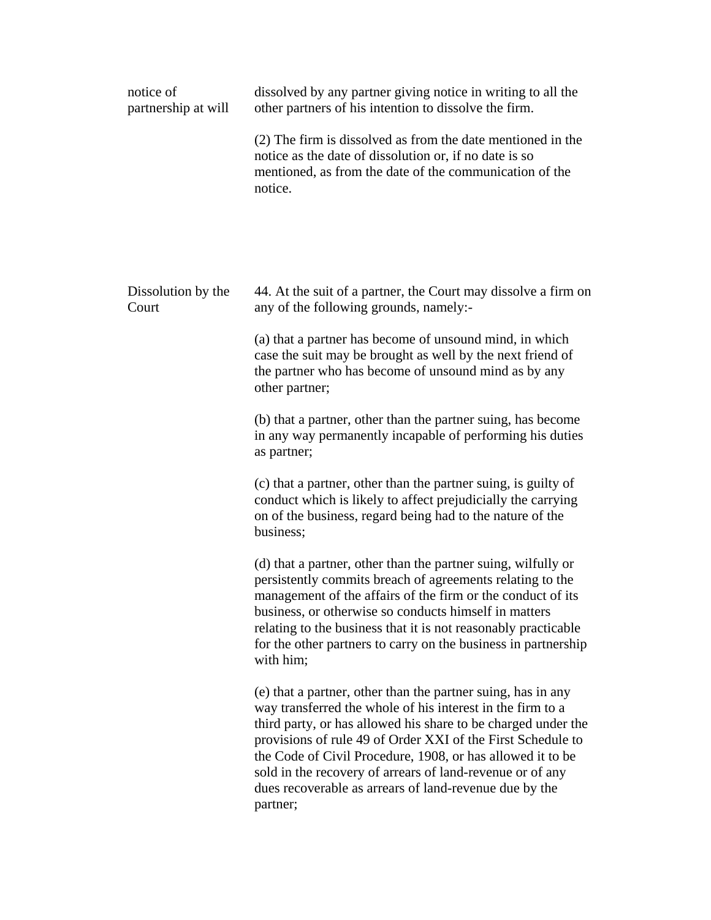| notice of<br>partnership at will | dissolved by any partner giving notice in writing to all the<br>other partners of his intention to dissolve the firm.                                                                                                                                                                                                                                                                                                                                       |
|----------------------------------|-------------------------------------------------------------------------------------------------------------------------------------------------------------------------------------------------------------------------------------------------------------------------------------------------------------------------------------------------------------------------------------------------------------------------------------------------------------|
|                                  | (2) The firm is dissolved as from the date mentioned in the<br>notice as the date of dissolution or, if no date is so<br>mentioned, as from the date of the communication of the<br>notice.                                                                                                                                                                                                                                                                 |
| Dissolution by the<br>Court      | 44. At the suit of a partner, the Court may dissolve a firm on<br>any of the following grounds, namely:-                                                                                                                                                                                                                                                                                                                                                    |
|                                  | (a) that a partner has become of unsound mind, in which<br>case the suit may be brought as well by the next friend of<br>the partner who has become of unsound mind as by any<br>other partner;                                                                                                                                                                                                                                                             |
|                                  | (b) that a partner, other than the partner suing, has become<br>in any way permanently incapable of performing his duties<br>as partner;                                                                                                                                                                                                                                                                                                                    |
|                                  | (c) that a partner, other than the partner suing, is guilty of<br>conduct which is likely to affect prejudicially the carrying<br>on of the business, regard being had to the nature of the<br>business;                                                                                                                                                                                                                                                    |
|                                  | (d) that a partner, other than the partner suing, wilfully or<br>persistently commits breach of agreements relating to the<br>management of the affairs of the firm or the conduct of its<br>business, or otherwise so conducts himself in matters<br>relating to the business that it is not reasonably practicable<br>for the other partners to carry on the business in partnership<br>with him;                                                         |
|                                  | (e) that a partner, other than the partner suing, has in any<br>way transferred the whole of his interest in the firm to a<br>third party, or has allowed his share to be charged under the<br>provisions of rule 49 of Order XXI of the First Schedule to<br>the Code of Civil Procedure, 1908, or has allowed it to be<br>sold in the recovery of arrears of land-revenue or of any<br>dues recoverable as arrears of land-revenue due by the<br>partner; |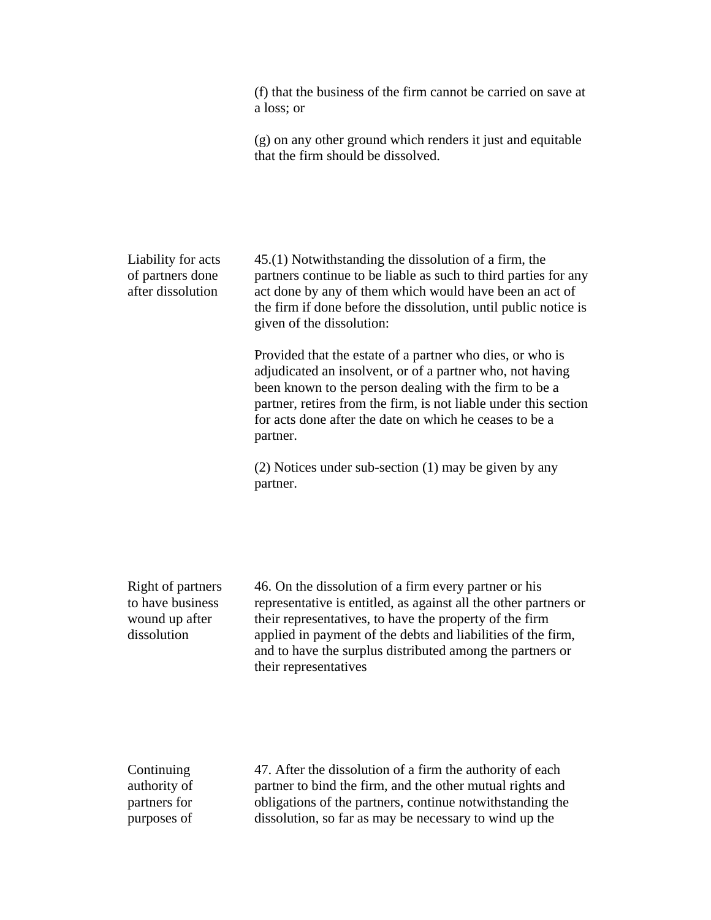|                                                                        | (f) that the business of the firm cannot be carried on save at<br>a loss; or                                                                                                                                                                                                                                                               |
|------------------------------------------------------------------------|--------------------------------------------------------------------------------------------------------------------------------------------------------------------------------------------------------------------------------------------------------------------------------------------------------------------------------------------|
|                                                                        | (g) on any other ground which renders it just and equitable<br>that the firm should be dissolved.                                                                                                                                                                                                                                          |
|                                                                        |                                                                                                                                                                                                                                                                                                                                            |
| Liability for acts<br>of partners done<br>after dissolution            | 45.(1) Notwithstanding the dissolution of a firm, the<br>partners continue to be liable as such to third parties for any<br>act done by any of them which would have been an act of<br>the firm if done before the dissolution, until public notice is<br>given of the dissolution:                                                        |
|                                                                        | Provided that the estate of a partner who dies, or who is<br>adjudicated an insolvent, or of a partner who, not having<br>been known to the person dealing with the firm to be a<br>partner, retires from the firm, is not liable under this section<br>for acts done after the date on which he ceases to be a<br>partner.                |
|                                                                        | $(2)$ Notices under sub-section $(1)$ may be given by any<br>partner.                                                                                                                                                                                                                                                                      |
|                                                                        |                                                                                                                                                                                                                                                                                                                                            |
| Right of partners<br>to have business<br>wound up after<br>dissolution | 46. On the dissolution of a firm every partner or his<br>representative is entitled, as against all the other partners or<br>their representatives, to have the property of the firm<br>applied in payment of the debts and liabilities of the firm,<br>and to have the surplus distributed among the partners or<br>their representatives |
|                                                                        |                                                                                                                                                                                                                                                                                                                                            |
| Continuing                                                             | 47. After the dissolution of a firm the authority of each                                                                                                                                                                                                                                                                                  |

authority of partners for purposes of

47. After the dissolution of a firm the authority of each partner to bind the firm, and the other mutual rights and obligations of the partners, continue notwithstanding the dissolution, so far as may be necessary to wind up the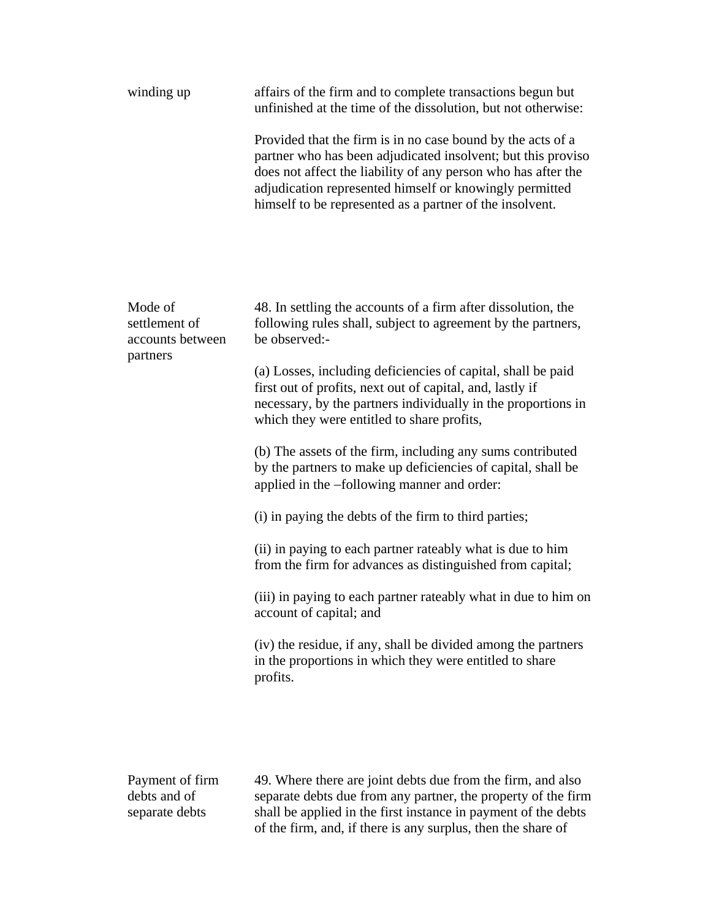| winding up                                               | affairs of the firm and to complete transactions begun but<br>unfinished at the time of the dissolution, but not otherwise:<br>Provided that the firm is in no case bound by the acts of a<br>partner who has been adjudicated insolvent; but this proviso<br>does not affect the liability of any person who has after the<br>adjudication represented himself or knowingly permitted<br>himself to be represented as a partner of the insolvent.                                                                                                                                                                                                                                                                                                                                                                                                                                                                                                                                               |
|----------------------------------------------------------|--------------------------------------------------------------------------------------------------------------------------------------------------------------------------------------------------------------------------------------------------------------------------------------------------------------------------------------------------------------------------------------------------------------------------------------------------------------------------------------------------------------------------------------------------------------------------------------------------------------------------------------------------------------------------------------------------------------------------------------------------------------------------------------------------------------------------------------------------------------------------------------------------------------------------------------------------------------------------------------------------|
| Mode of<br>settlement of<br>accounts between<br>partners | 48. In settling the accounts of a firm after dissolution, the<br>following rules shall, subject to agreement by the partners,<br>be observed:-<br>(a) Losses, including deficiencies of capital, shall be paid<br>first out of profits, next out of capital, and, lastly if<br>necessary, by the partners individually in the proportions in<br>which they were entitled to share profits,<br>(b) The assets of the firm, including any sums contributed<br>by the partners to make up deficiencies of capital, shall be<br>applied in the -following manner and order:<br>(i) in paying the debts of the firm to third parties;<br>(ii) in paying to each partner rateably what is due to him<br>from the firm for advances as distinguished from capital;<br>(iii) in paying to each partner rateably what in due to him on<br>account of capital; and<br>(iv) the residue, if any, shall be divided among the partners<br>in the proportions in which they were entitled to share<br>profits. |
| Payment of firm<br>debts and of                          | 49. Where there are joint debts due from the firm, and also<br>separate debts due from any partner, the property of the firm                                                                                                                                                                                                                                                                                                                                                                                                                                                                                                                                                                                                                                                                                                                                                                                                                                                                     |

separate debts

shall be applied in the first instance in payment of the debts of the firm, and, if there is any surplus, then the share of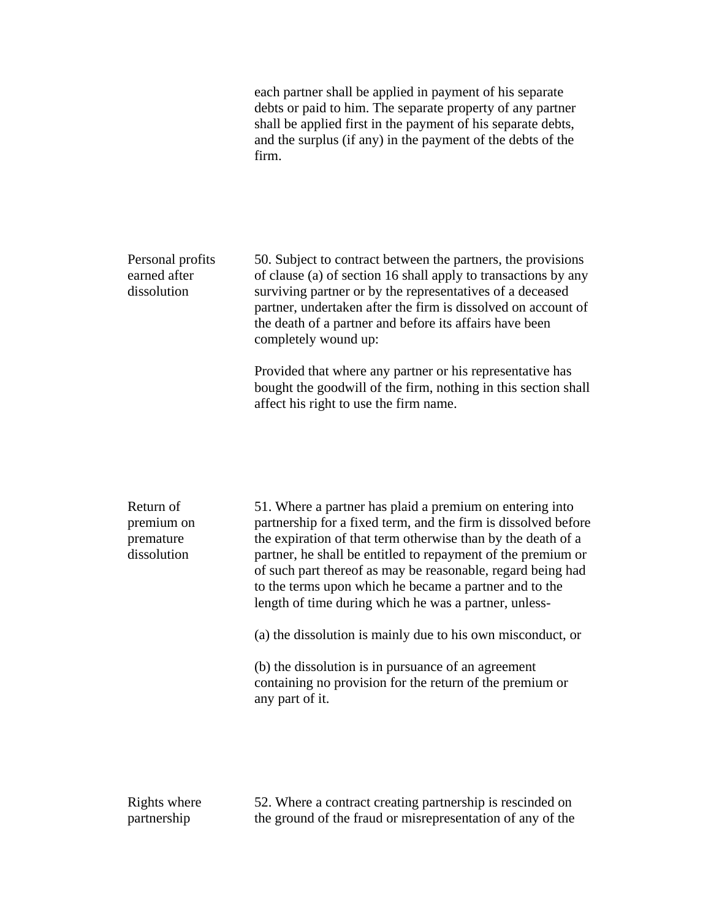|                                                     | each partner shall be applied in payment of his separate<br>debts or paid to him. The separate property of any partner<br>shall be applied first in the payment of his separate debts,<br>and the surplus (if any) in the payment of the debts of the<br>firm.                                                                                                                                                                               |
|-----------------------------------------------------|----------------------------------------------------------------------------------------------------------------------------------------------------------------------------------------------------------------------------------------------------------------------------------------------------------------------------------------------------------------------------------------------------------------------------------------------|
| Personal profits<br>earned after<br>dissolution     | 50. Subject to contract between the partners, the provisions<br>of clause (a) of section 16 shall apply to transactions by any<br>surviving partner or by the representatives of a deceased<br>partner, undertaken after the firm is dissolved on account of<br>the death of a partner and before its affairs have been<br>completely wound up:<br>Provided that where any partner or his representative has                                 |
|                                                     | bought the goodwill of the firm, nothing in this section shall<br>affect his right to use the firm name.                                                                                                                                                                                                                                                                                                                                     |
| Return of<br>premium on<br>premature<br>dissolution | 51. Where a partner has plaid a premium on entering into<br>partnership for a fixed term, and the firm is dissolved before<br>the expiration of that term otherwise than by the death of a<br>partner, he shall be entitled to repayment of the premium or<br>of such part thereof as may be reasonable, regard being had<br>to the terms upon which he became a partner and to the<br>length of time during which he was a partner, unless- |

(a) the dissolution is mainly due to his own misconduct, or

(b) the dissolution is in pursuance of an agreement containing no provision for the return of the premium or any part of it.

Rights where<br>partnership

Rights where 52. Where a contract creating partnership is rescinded on partnership the ground of the fraud or misrepresentation of any of the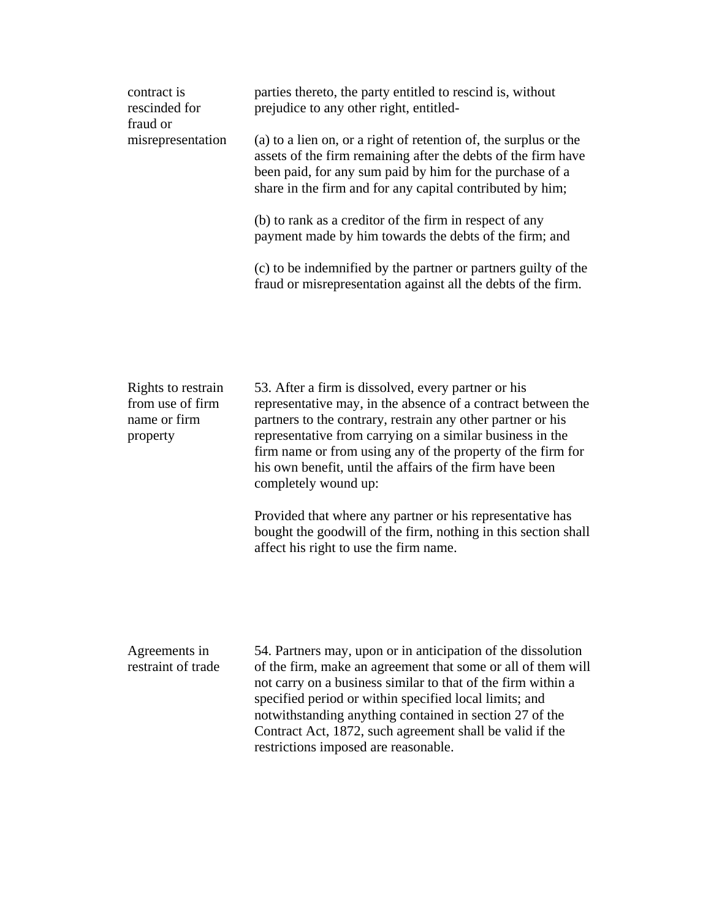| contract is<br>rescinded for<br>fraud or                           | parties thereto, the party entitled to rescind is, without<br>prejudice to any other right, entitled-                                                                                                                                                                                                                                                                                                                                                                                                                                                                       |
|--------------------------------------------------------------------|-----------------------------------------------------------------------------------------------------------------------------------------------------------------------------------------------------------------------------------------------------------------------------------------------------------------------------------------------------------------------------------------------------------------------------------------------------------------------------------------------------------------------------------------------------------------------------|
| misrepresentation                                                  | (a) to a lien on, or a right of retention of, the surplus or the<br>assets of the firm remaining after the debts of the firm have<br>been paid, for any sum paid by him for the purchase of a<br>share in the firm and for any capital contributed by him;                                                                                                                                                                                                                                                                                                                  |
|                                                                    | (b) to rank as a creditor of the firm in respect of any<br>payment made by him towards the debts of the firm; and                                                                                                                                                                                                                                                                                                                                                                                                                                                           |
|                                                                    | (c) to be indemnified by the partner or partners guilty of the<br>fraud or misrepresentation against all the debts of the firm.                                                                                                                                                                                                                                                                                                                                                                                                                                             |
|                                                                    |                                                                                                                                                                                                                                                                                                                                                                                                                                                                                                                                                                             |
| Rights to restrain<br>from use of firm<br>name or firm<br>property | 53. After a firm is dissolved, every partner or his<br>representative may, in the absence of a contract between the<br>partners to the contrary, restrain any other partner or his<br>representative from carrying on a similar business in the<br>firm name or from using any of the property of the firm for<br>his own benefit, until the affairs of the firm have been<br>completely wound up:<br>Provided that where any partner or his representative has<br>bought the goodwill of the firm, nothing in this section shall<br>affect his right to use the firm name. |
|                                                                    |                                                                                                                                                                                                                                                                                                                                                                                                                                                                                                                                                                             |
| Agreements in<br>restraint of trade                                | 54. Partners may, upon or in anticipation of the dissolution<br>of the firm, make an agreement that some or all of them will<br>not carry on a business similar to that of the firm within a<br>specified period or within specified local limits; and<br>notwithstanding anything contained in section 27 of the<br>Contract Act, 1872, such agreement shall be valid if the<br>restrictions imposed are reasonable.                                                                                                                                                       |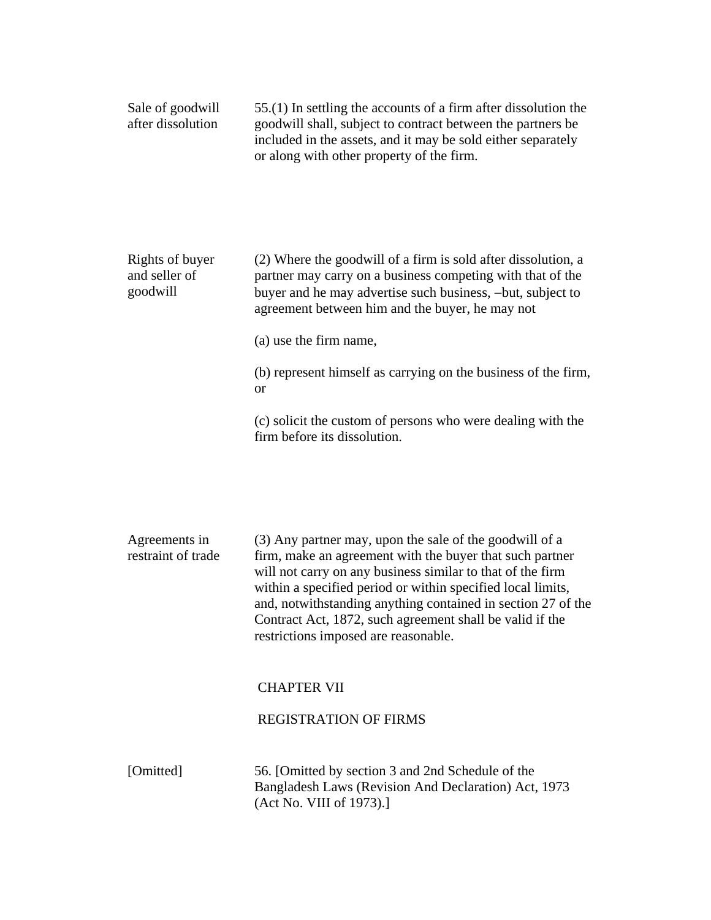| Sale of goodwill<br>after dissolution        | 55.(1) In settling the accounts of a firm after dissolution the<br>goodwill shall, subject to contract between the partners be<br>included in the assets, and it may be sold either separately<br>or along with other property of the firm.                                                                                                                                                                          |
|----------------------------------------------|----------------------------------------------------------------------------------------------------------------------------------------------------------------------------------------------------------------------------------------------------------------------------------------------------------------------------------------------------------------------------------------------------------------------|
| Rights of buyer<br>and seller of<br>goodwill | (2) Where the goodwill of a firm is sold after dissolution, a<br>partner may carry on a business competing with that of the<br>buyer and he may advertise such business, -but, subject to<br>agreement between him and the buyer, he may not<br>(a) use the firm name,                                                                                                                                               |
|                                              | (b) represent himself as carrying on the business of the firm,<br>or                                                                                                                                                                                                                                                                                                                                                 |
|                                              | (c) solicit the custom of persons who were dealing with the<br>firm before its dissolution.                                                                                                                                                                                                                                                                                                                          |
|                                              |                                                                                                                                                                                                                                                                                                                                                                                                                      |
| Agreements in<br>restraint of trade          | (3) Any partner may, upon the sale of the goodwill of a<br>firm, make an agreement with the buyer that such partner<br>will not carry on any business similar to that of the firm<br>within a specified period or within specified local limits,<br>and, notwithstanding anything contained in section 27 of the<br>Contract Act, 1872, such agreement shall be valid if the<br>restrictions imposed are reasonable. |
|                                              | <b>CHAPTER VII</b>                                                                                                                                                                                                                                                                                                                                                                                                   |
|                                              | <b>REGISTRATION OF FIRMS</b>                                                                                                                                                                                                                                                                                                                                                                                         |
| [Omitted]                                    | 56. [Omitted by section 3 and 2nd Schedule of the<br>Bangladesh Laws (Revision And Declaration) Act, 1973                                                                                                                                                                                                                                                                                                            |

(Act No. VIII of 1973).]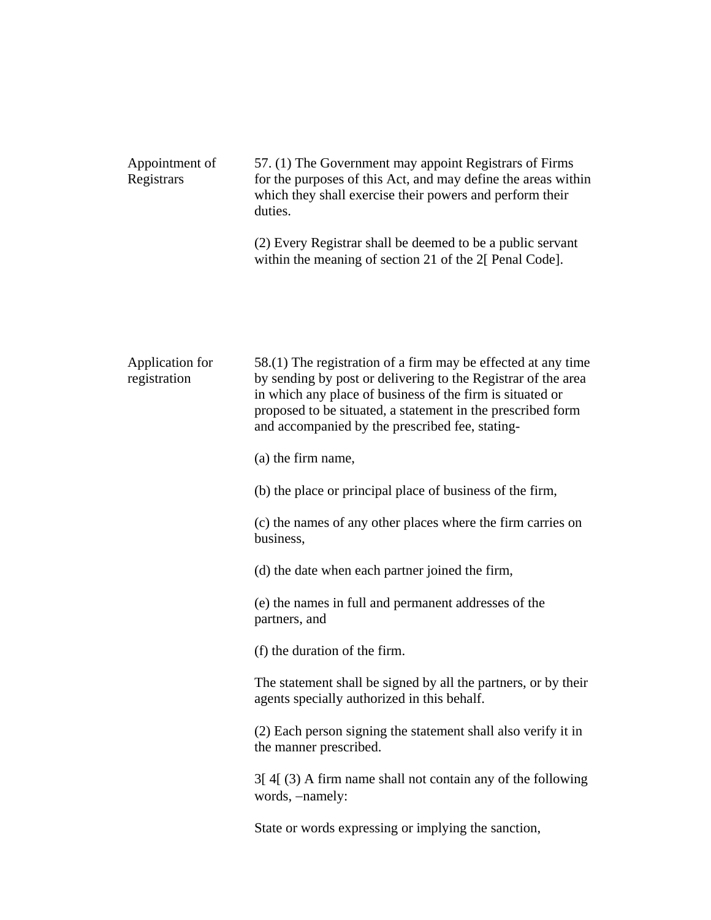| Appointment of<br>Registrars    | 57. (1) The Government may appoint Registrars of Firms<br>for the purposes of this Act, and may define the areas within<br>which they shall exercise their powers and perform their<br>duties.                                                                                                                |
|---------------------------------|---------------------------------------------------------------------------------------------------------------------------------------------------------------------------------------------------------------------------------------------------------------------------------------------------------------|
|                                 | (2) Every Registrar shall be deemed to be a public servant<br>within the meaning of section 21 of the 2[ Penal Code].                                                                                                                                                                                         |
| Application for<br>registration | 58.(1) The registration of a firm may be effected at any time<br>by sending by post or delivering to the Registrar of the area<br>in which any place of business of the firm is situated or<br>proposed to be situated, a statement in the prescribed form<br>and accompanied by the prescribed fee, stating- |
|                                 | (a) the firm name,                                                                                                                                                                                                                                                                                            |
|                                 | (b) the place or principal place of business of the firm,                                                                                                                                                                                                                                                     |
|                                 | (c) the names of any other places where the firm carries on<br>business,                                                                                                                                                                                                                                      |
|                                 | (d) the date when each partner joined the firm,                                                                                                                                                                                                                                                               |
|                                 | (e) the names in full and permanent addresses of the<br>partners, and                                                                                                                                                                                                                                         |
|                                 | (f) the duration of the firm.                                                                                                                                                                                                                                                                                 |
|                                 | The statement shall be signed by all the partners, or by their<br>agents specially authorized in this behalf.                                                                                                                                                                                                 |
|                                 | (2) Each person signing the statement shall also verify it in<br>the manner prescribed.                                                                                                                                                                                                                       |
|                                 | $3[4]$ (3) A firm name shall not contain any of the following<br>words, -namely:                                                                                                                                                                                                                              |
|                                 | State or words expressing or implying the sanction,                                                                                                                                                                                                                                                           |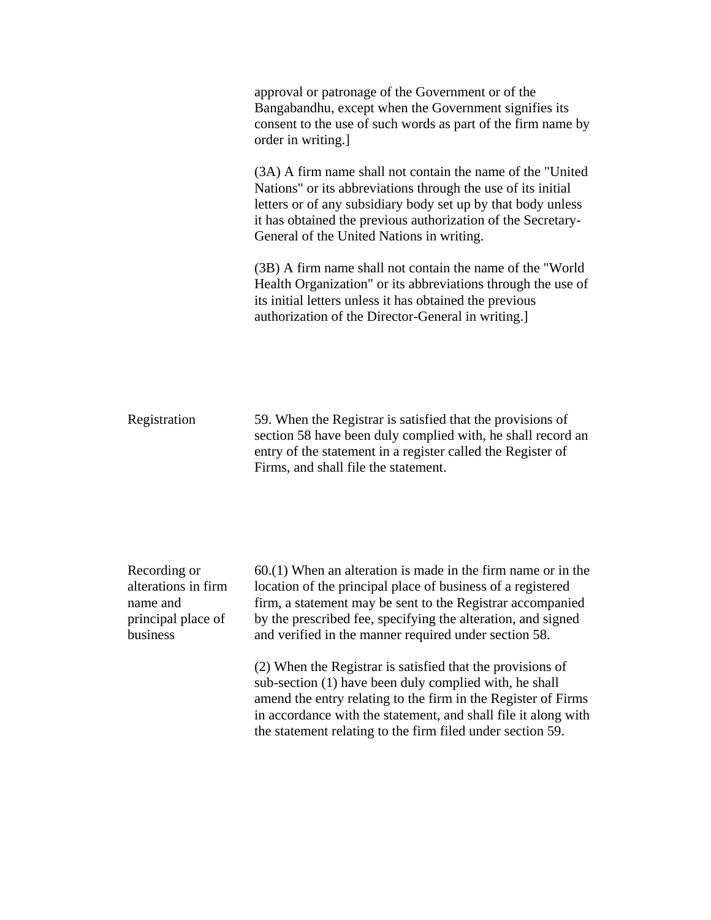|                                                                                   | approval or patronage of the Government or of the<br>Bangabandhu, except when the Government signifies its<br>consent to the use of such words as part of the firm name by<br>order in writing.]                                                                                                                      |
|-----------------------------------------------------------------------------------|-----------------------------------------------------------------------------------------------------------------------------------------------------------------------------------------------------------------------------------------------------------------------------------------------------------------------|
|                                                                                   | (3A) A firm name shall not contain the name of the "United<br>Nations" or its abbreviations through the use of its initial<br>letters or of any subsidiary body set up by that body unless<br>it has obtained the previous authorization of the Secretary-<br>General of the United Nations in writing.               |
|                                                                                   | (3B) A firm name shall not contain the name of the "World"<br>Health Organization" or its abbreviations through the use of<br>its initial letters unless it has obtained the previous<br>authorization of the Director-General in writing.]                                                                           |
| Registration                                                                      | 59. When the Registrar is satisfied that the provisions of<br>section 58 have been duly complied with, he shall record an<br>entry of the statement in a register called the Register of<br>Firms, and shall file the statement.                                                                                      |
| Recording or<br>alterations in firm<br>name and<br>principal place of<br>business | $60(1)$ When an alteration is made in the firm name or in the<br>location of the principal place of business of a registered<br>firm, a statement may be sent to the Registrar accompanied<br>by the prescribed fee, specifying the alteration, and signed<br>and verified in the manner required under section 58.   |
|                                                                                   | (2) When the Registrar is satisfied that the provisions of<br>sub-section (1) have been duly complied with, he shall<br>amend the entry relating to the firm in the Register of Firms<br>in accordance with the statement, and shall file it along with<br>the statement relating to the firm filed under section 59. |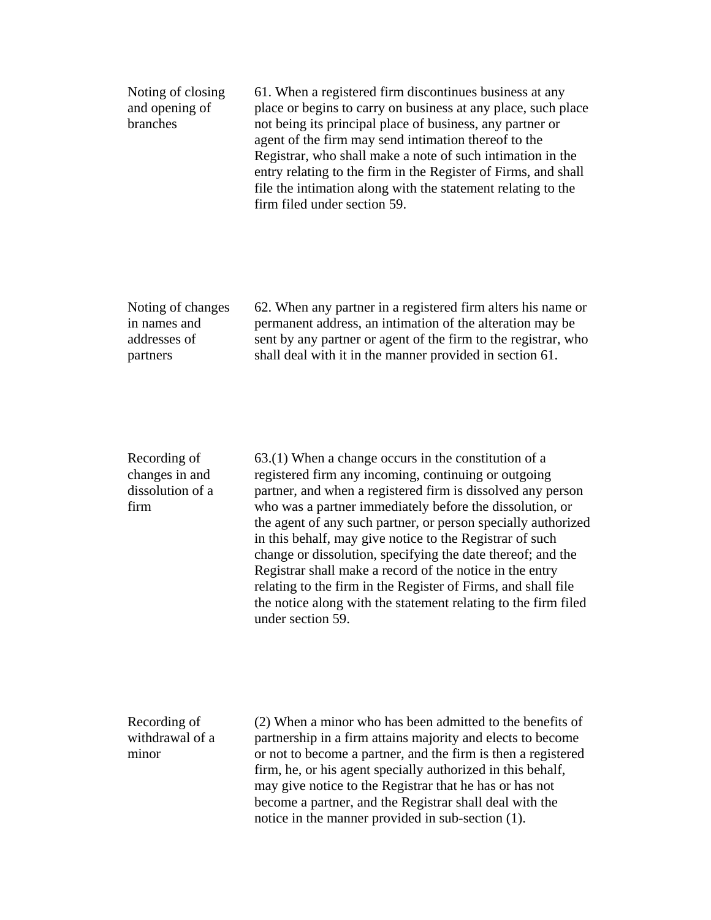| Noting of closing<br>and opening of<br>branches               | 61. When a registered firm discontinues business at any<br>place or begins to carry on business at any place, such place<br>not being its principal place of business, any partner or<br>agent of the firm may send intimation thereof to the<br>Registrar, who shall make a note of such intimation in the<br>entry relating to the firm in the Register of Firms, and shall<br>file the intimation along with the statement relating to the<br>firm filed under section 59.                                                                                                                                                                           |
|---------------------------------------------------------------|---------------------------------------------------------------------------------------------------------------------------------------------------------------------------------------------------------------------------------------------------------------------------------------------------------------------------------------------------------------------------------------------------------------------------------------------------------------------------------------------------------------------------------------------------------------------------------------------------------------------------------------------------------|
| Noting of changes<br>in names and<br>addresses of<br>partners | 62. When any partner in a registered firm alters his name or<br>permanent address, an intimation of the alteration may be<br>sent by any partner or agent of the firm to the registrar, who<br>shall deal with it in the manner provided in section 61.                                                                                                                                                                                                                                                                                                                                                                                                 |
| Recording of<br>changes in and<br>dissolution of a<br>firm    | 63.(1) When a change occurs in the constitution of a<br>registered firm any incoming, continuing or outgoing<br>partner, and when a registered firm is dissolved any person<br>who was a partner immediately before the dissolution, or<br>the agent of any such partner, or person specially authorized<br>in this behalf, may give notice to the Registrar of such<br>change or dissolution, specifying the date thereof; and the<br>Registrar shall make a record of the notice in the entry<br>relating to the firm in the Register of Firms, and shall file<br>the notice along with the statement relating to the firm filed<br>under section 59. |
| Recording of<br>withdrawal of a<br>minor                      | (2) When a minor who has been admitted to the benefits of<br>partnership in a firm attains majority and elects to become<br>or not to become a partner, and the firm is then a registered<br>firm, he, or his agent specially authorized in this behalf,<br>may give notice to the Registrar that he has or has not<br>become a partner, and the Registrar shall deal with the<br>notice in the manner provided in sub-section (1).                                                                                                                                                                                                                     |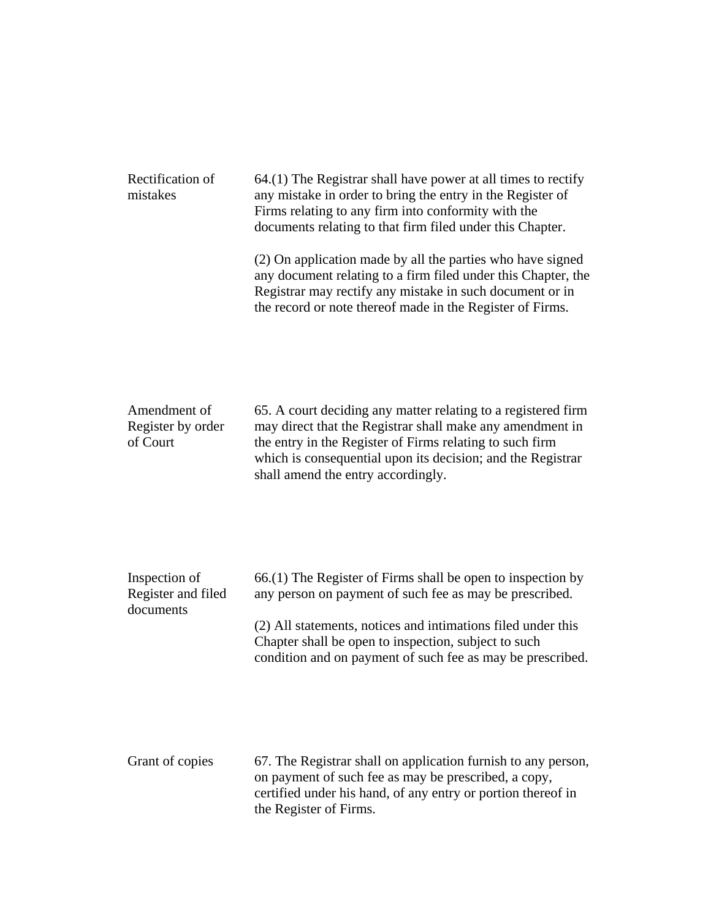| Rectification of<br>mistakes                  | $64.(1)$ The Registrar shall have power at all times to rectify<br>any mistake in order to bring the entry in the Register of<br>Firms relating to any firm into conformity with the<br>documents relating to that firm filed under this Chapter.                                           |
|-----------------------------------------------|---------------------------------------------------------------------------------------------------------------------------------------------------------------------------------------------------------------------------------------------------------------------------------------------|
|                                               | (2) On application made by all the parties who have signed<br>any document relating to a firm filed under this Chapter, the<br>Registrar may rectify any mistake in such document or in<br>the record or note thereof made in the Register of Firms.                                        |
| Amendment of<br>Register by order<br>of Court | 65. A court deciding any matter relating to a registered firm<br>may direct that the Registrar shall make any amendment in<br>the entry in the Register of Firms relating to such firm<br>which is consequential upon its decision; and the Registrar<br>shall amend the entry accordingly. |
| Inspection of<br>Register and filed           | $66(1)$ The Register of Firms shall be open to inspection by<br>any person on payment of such fee as may be prescribed.                                                                                                                                                                     |
| documents                                     | (2) All statements, notices and intimations filed under this<br>Chapter shall be open to inspection, subject to such<br>condition and on payment of such fee as may be prescribed.                                                                                                          |
| Grant of copies                               | 67. The Registrar shall on application furnish to any person,<br>on payment of such fee as may be prescribed, a copy,<br>certified under his hand, of any entry or portion thereof in<br>the Register of Firms.                                                                             |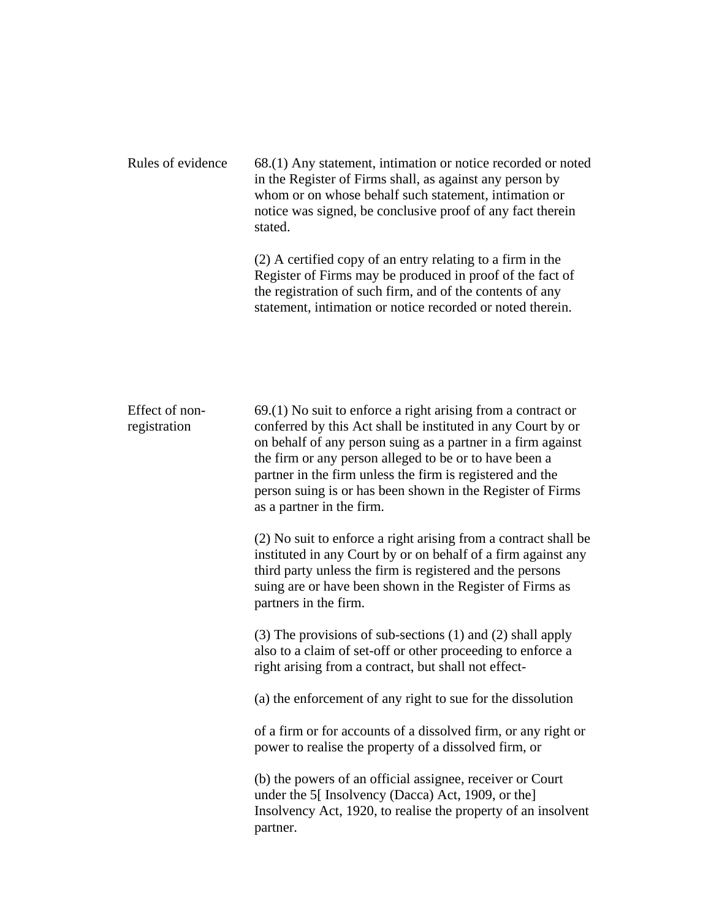| Rules of evidence              | 68.(1) Any statement, intimation or notice recorded or noted<br>in the Register of Firms shall, as against any person by<br>whom or on whose behalf such statement, intimation or<br>notice was signed, be conclusive proof of any fact therein<br>stated.<br>(2) A certified copy of an entry relating to a firm in the<br>Register of Firms may be produced in proof of the fact of<br>the registration of such firm, and of the contents of any<br>statement, intimation or notice recorded or noted therein.                                                                                                 |
|--------------------------------|------------------------------------------------------------------------------------------------------------------------------------------------------------------------------------------------------------------------------------------------------------------------------------------------------------------------------------------------------------------------------------------------------------------------------------------------------------------------------------------------------------------------------------------------------------------------------------------------------------------|
| Effect of non-<br>registration | $69(1)$ No suit to enforce a right arising from a contract or<br>conferred by this Act shall be instituted in any Court by or<br>on behalf of any person suing as a partner in a firm against<br>the firm or any person alleged to be or to have been a<br>partner in the firm unless the firm is registered and the<br>person suing is or has been shown in the Register of Firms<br>as a partner in the firm.<br>(2) No suit to enforce a right arising from a contract shall be<br>instituted in any Court by or on behalf of a firm against any<br>third party unless the firm is registered and the persons |
|                                | suing are or have been shown in the Register of Firms as<br>partners in the firm.<br>$(3)$ The provisions of sub-sections $(1)$ and $(2)$ shall apply<br>also to a claim of set-off or other proceeding to enforce a<br>right arising from a contract, but shall not effect-                                                                                                                                                                                                                                                                                                                                     |
|                                | (a) the enforcement of any right to sue for the dissolution                                                                                                                                                                                                                                                                                                                                                                                                                                                                                                                                                      |
|                                | of a firm or for accounts of a dissolved firm, or any right or<br>power to realise the property of a dissolved firm, or                                                                                                                                                                                                                                                                                                                                                                                                                                                                                          |
|                                | (b) the powers of an official assignee, receiver or Court<br>under the 5[Insolvency (Dacca) Act, 1909, or the]<br>Insolvency Act, 1920, to realise the property of an insolvent<br>partner.                                                                                                                                                                                                                                                                                                                                                                                                                      |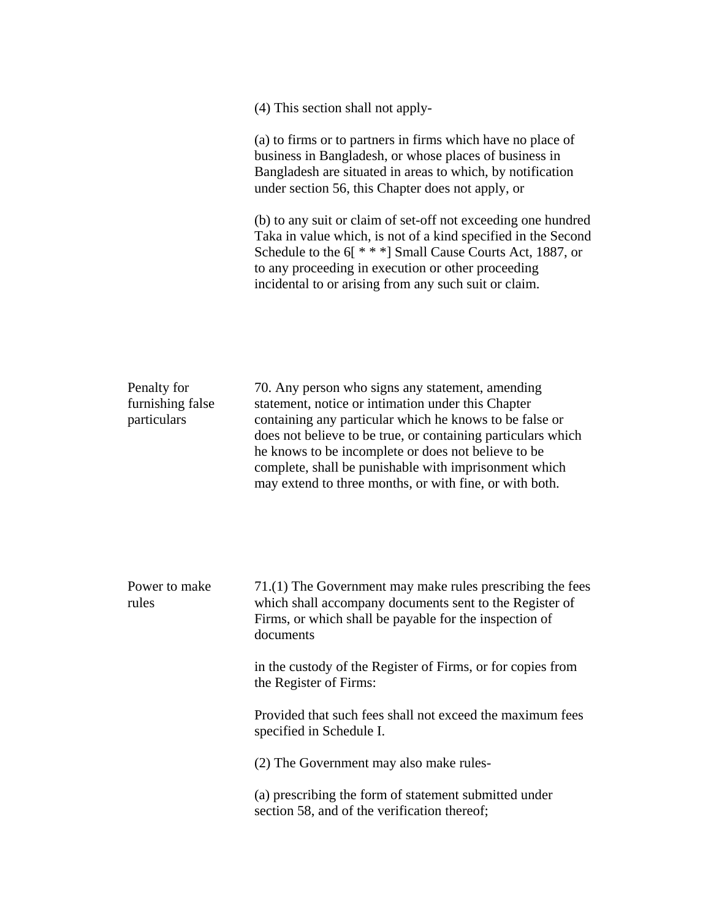(4) This section shall not apply-

(a) to firms or to partners in firms which have no place of business in Bangladesh, or whose places of business in Bangladesh are situated in areas to which, by notification under section 56, this Chapter does not apply, or (b) to any suit or claim of set-off not exceeding one hundred Taka in value which, is not of a kind specified in the Second Schedule to the [6\[](http://www.bdlaws.gov.bd/print_sections.php?id=157&vol=§ions_id=25278) $***$ [\] Small Cause Courts Act,](http://www.bdlaws.gov.bd/pdf_part.php?id=58) 1887, or to any proceeding in execution or other proceeding incidental to or arising from any such suit or claim. Penalty for furnishing false particulars 70. Any person who signs any statement, amending statement, notice or intimation under this Chapter containing any particular which he knows to be false or does not believe to be true, or containing particulars which he knows to be incomplete or does not believe to be complete, shall be punishable with imprisonment which may extend to three months, or with fine, or with both. Power to make rules 71.(1) The Government may make rules prescribing the fees which shall accompany documents sent to the Register of Firms, or which shall be payable for the inspection of documents in the custody of the Register of Firms, or for copies from the Register of Firms: Provided that such fees shall not exceed the maximum fees specified in Schedule I. (2) The Government may also make rules- (a) prescribing the form of statement submitted under section 58, and of the verification thereof;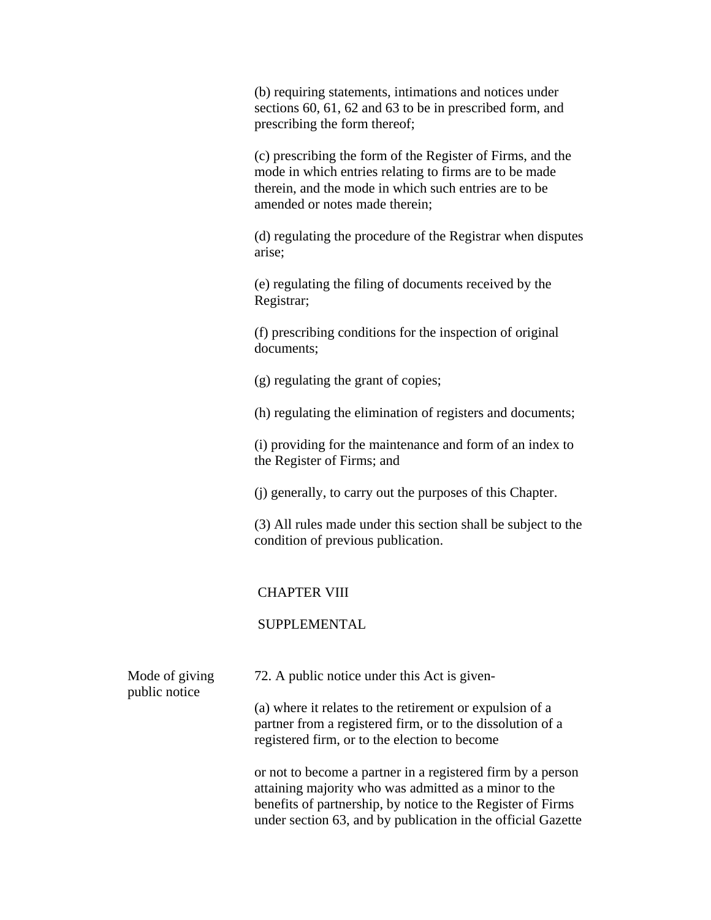(b) requiring statements, intimations and notices under sections 60, 61, 62 and 63 to be in prescribed form, and prescribing the form thereof;

(c) prescribing the form of the Register of Firms, and the mode in which entries relating to firms are to be made therein, and the mode in which such entries are to be amended or notes made therein;

(d) regulating the procedure of the Registrar when disputes arise;

(e) regulating the filing of documents received by the Registrar;

(f) prescribing conditions for the inspection of original documents;

(g) regulating the grant of copies;

(h) regulating the elimination of registers and documents;

(i) providing for the maintenance and form of an index to the Register of Firms; and

(j) generally, to carry out the purposes of this Chapter.

(3) All rules made under this section shall be subject to the condition of previous publication.

### CHAPTER VIII

## SUPPLEMENTAL

| Mode of giving<br>public notice | 72. A public notice under this Act is given-                                                                                                                                                                                                        |
|---------------------------------|-----------------------------------------------------------------------------------------------------------------------------------------------------------------------------------------------------------------------------------------------------|
|                                 | (a) where it relates to the retirement or expulsion of a<br>partner from a registered firm, or to the dissolution of a<br>registered firm, or to the election to become                                                                             |
|                                 | or not to become a partner in a registered firm by a person<br>attaining majority who was admitted as a minor to the<br>benefits of partnership, by notice to the Register of Firms<br>under section 63, and by publication in the official Gazette |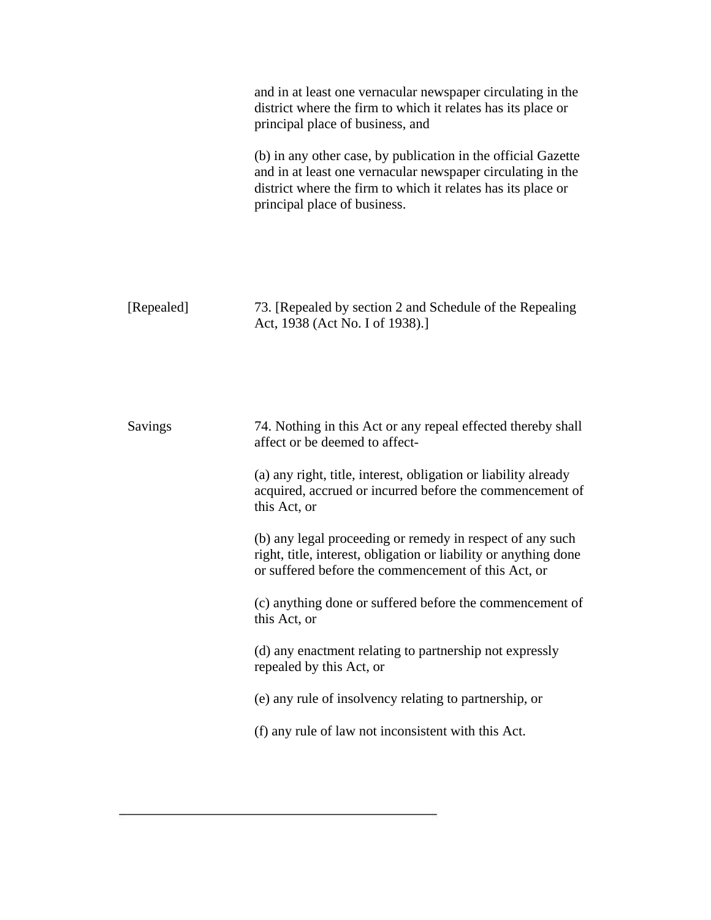|            | and in at least one vernacular newspaper circulating in the<br>district where the firm to which it relates has its place or<br>principal place of business, and                                                              |
|------------|------------------------------------------------------------------------------------------------------------------------------------------------------------------------------------------------------------------------------|
|            | (b) in any other case, by publication in the official Gazette<br>and in at least one vernacular newspaper circulating in the<br>district where the firm to which it relates has its place or<br>principal place of business. |
| [Repealed] | 73. [Repealed by section 2 and Schedule of the Repealing<br>Act, 1938 (Act No. I of 1938).]                                                                                                                                  |
| Savings    | 74. Nothing in this Act or any repeal effected thereby shall<br>affect or be deemed to affect-                                                                                                                               |
|            | (a) any right, title, interest, obligation or liability already<br>acquired, accrued or incurred before the commencement of<br>this Act, or                                                                                  |
|            | (b) any legal proceeding or remedy in respect of any such<br>right, title, interest, obligation or liability or anything done<br>or suffered before the commencement of this Act, or                                         |
|            | (c) anything done or suffered before the commencement of<br>this Act, or                                                                                                                                                     |
|            | (d) any enactment relating to partnership not expressly<br>repealed by this Act, or                                                                                                                                          |
|            | (e) any rule of insolvency relating to partnership, or                                                                                                                                                                       |
|            | (f) any rule of law not inconsistent with this Act.                                                                                                                                                                          |
|            |                                                                                                                                                                                                                              |